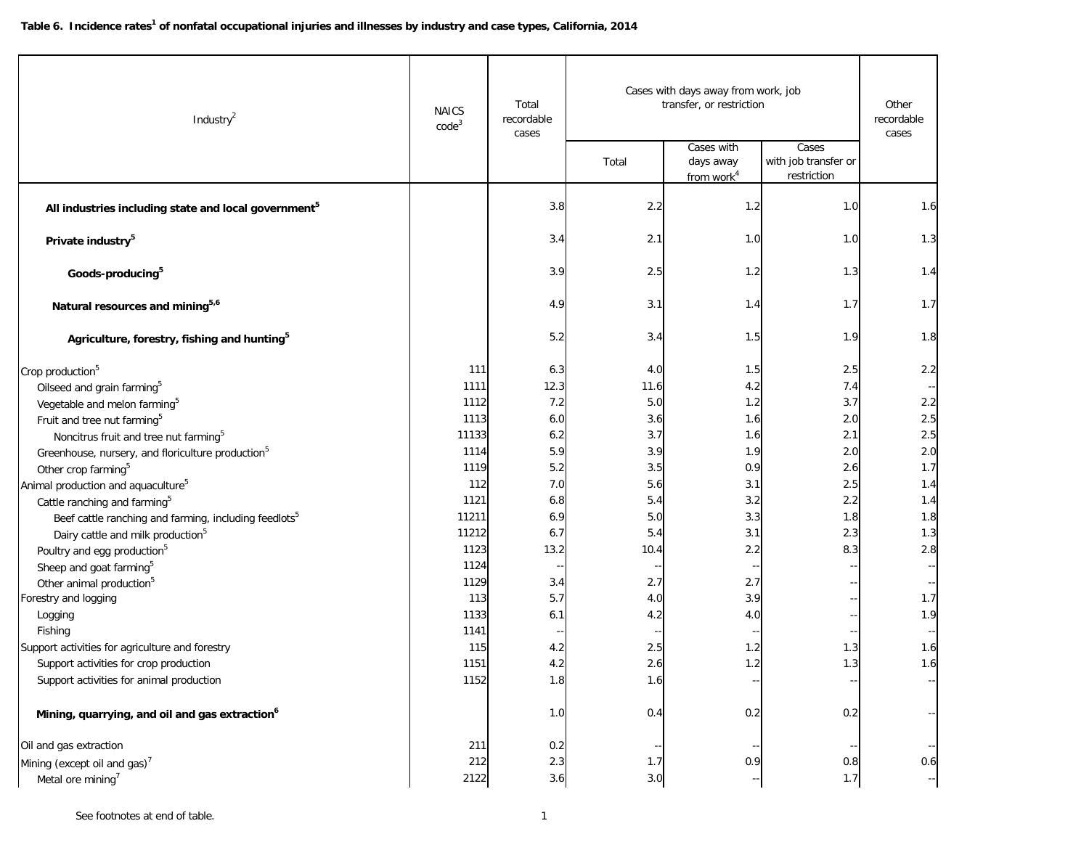| Industry <sup>2</sup>                                             | <b>NAICS</b><br>code <sup>3</sup> | Total<br>recordable<br>cases | Cases with days away from work, job<br>transfer, or restriction |                                                   |                                              | Other<br>recordable<br>cases                  |
|-------------------------------------------------------------------|-----------------------------------|------------------------------|-----------------------------------------------------------------|---------------------------------------------------|----------------------------------------------|-----------------------------------------------|
|                                                                   |                                   |                              | Total                                                           | Cases with<br>days away<br>from work <sup>4</sup> | Cases<br>with job transfer or<br>restriction |                                               |
| All industries including state and local government <sup>5</sup>  |                                   | 3.8                          | 2.2                                                             | 1.2                                               | 1.0                                          | 1.6                                           |
| Private industry <sup>5</sup>                                     |                                   | 3.4                          | 2.1                                                             | 1.0                                               | 1.0                                          | 1.3                                           |
| Goods-producing <sup>5</sup>                                      |                                   | 3.9                          | 2.5                                                             | 1.2                                               | 1.3                                          | 1.4                                           |
| Natural resources and mining <sup>5,6</sup>                       |                                   | 4.9                          | 3.1                                                             | 1.4                                               | 1.7                                          | 1.7                                           |
| Agriculture, forestry, fishing and hunting <sup>5</sup>           |                                   | 5.2                          | 3.4                                                             | 1.5                                               | 1.9                                          | 1.8                                           |
| Crop production <sup>5</sup>                                      | 111                               | 6.3                          | 4.0                                                             | 1.5                                               | 2.5                                          | 2.2                                           |
| Oilseed and grain farming <sup>5</sup>                            | 1111                              | 12.3                         | 11.6                                                            | 4.2                                               | 7.4                                          |                                               |
| Vegetable and melon farming <sup>5</sup>                          | 1112                              | 7.2                          | 5.0                                                             | 1.2                                               | 3.7                                          | 2.2                                           |
| Fruit and tree nut farming <sup>5</sup>                           | 1113                              | 6.0                          | 3.6                                                             | 1.6                                               | 2.0                                          | 2.5                                           |
| Noncitrus fruit and tree nut farming <sup>5</sup>                 | 11133                             | 6.2                          | 3.7                                                             | 1.6                                               | 2.1                                          | 2.5                                           |
| Greenhouse, nursery, and floriculture production <sup>5</sup>     | 1114                              | 5.9                          | 3.9                                                             | 1.9                                               | 2.0                                          | 2.0                                           |
| Other crop farming <sup>5</sup>                                   | 1119                              | 5.2                          | 3.5                                                             | 0.9                                               | 2.6                                          | 1.7                                           |
| Animal production and aquaculture <sup>5</sup>                    | 112                               | 7.0                          | 5.6                                                             | 3.1                                               | 2.5                                          | 1.4                                           |
| Cattle ranching and farming <sup>5</sup>                          | 1121                              | 6.8                          | 5.4                                                             | 3.2                                               | 2.2                                          | 1.4                                           |
| Beef cattle ranching and farming, including feedlots <sup>5</sup> | 11211                             | 6.9                          | 5.0                                                             | 3.3                                               | 1.8                                          | 1.8                                           |
| Dairy cattle and milk production <sup>5</sup>                     | 11212                             | 6.7                          | 5.4                                                             | 3.1                                               | 2.3                                          | 1.3                                           |
| Poultry and egg production <sup>5</sup>                           | 1123                              | 13.2                         | 10.4                                                            | 2.2                                               | 8.3                                          | 2.8                                           |
| Sheep and goat farming <sup>5</sup>                               | 1124                              |                              |                                                                 |                                                   |                                              |                                               |
| Other animal production <sup>5</sup>                              | 1129                              | 3.4                          | 2.7                                                             | 2.7                                               |                                              |                                               |
| Forestry and logging                                              | 113                               | 5.7                          | 4.0                                                             | 3.9                                               |                                              | 1.7                                           |
| Logging                                                           | 1133<br>1141                      | 6.1                          | 4.2                                                             | 4.0                                               |                                              | 1.9                                           |
| Fishing<br>Support activities for agriculture and forestry        | 115                               | 4.2                          | 2.5                                                             | 1.2                                               | 1.3                                          | 1.6                                           |
| Support activities for crop production                            | 1151                              | 4.2                          | 2.6                                                             | 1.2                                               | 1.3                                          | 1.6                                           |
| Support activities for animal production                          | 1152                              | 1.8                          | 1.6                                                             |                                                   |                                              |                                               |
|                                                                   |                                   |                              |                                                                 |                                                   |                                              |                                               |
| Mining, quarrying, and oil and gas extraction <sup>6</sup>        |                                   | 1.0                          | 0.4                                                             | 0.2                                               | 0.2                                          |                                               |
| Oil and gas extraction                                            | 211                               | 0.2                          |                                                                 |                                                   |                                              |                                               |
| Mining (except oil and gas) <sup>7</sup>                          | 212                               | 2.3                          | 1.7                                                             | 0.9                                               | 0.8                                          | 0.6                                           |
| Metal ore mining <sup>7</sup>                                     | 2122                              | 3.6                          | $3.0\,$                                                         |                                                   | 1.7                                          | $\mathord{\hspace{1pt}\text{--}\hspace{1pt}}$ |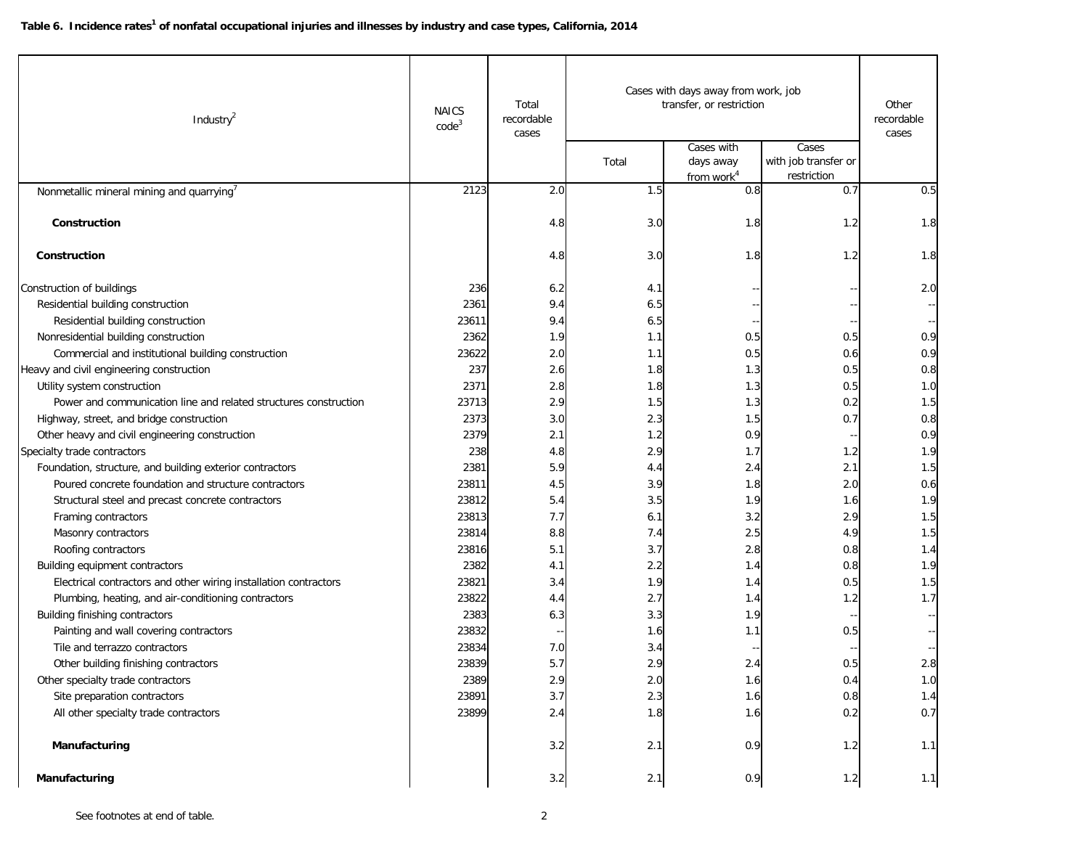| Industry <sup>2</sup>                                            | <b>NAICS</b><br>code <sup>3</sup> | Total<br>recordable<br>cases | Cases with days away from work, job<br>transfer, or restriction |                                                   |                                              | Other<br>recordable<br>cases |
|------------------------------------------------------------------|-----------------------------------|------------------------------|-----------------------------------------------------------------|---------------------------------------------------|----------------------------------------------|------------------------------|
|                                                                  |                                   |                              | Total                                                           | Cases with<br>days away<br>from work <sup>4</sup> | Cases<br>with job transfer or<br>restriction |                              |
| Nonmetallic mineral mining and quarrying <sup>7</sup>            | 2123                              | 2.0                          | 1.5                                                             | 0.8                                               | 0.7                                          | 0.5                          |
| Construction                                                     |                                   | 4.8                          | 3.0                                                             | 1.8                                               | 1.2                                          | 1.8                          |
| Construction                                                     |                                   | 4.8                          | 3.0                                                             | 1.8                                               | 1.2                                          | 1.8                          |
|                                                                  | 236                               |                              |                                                                 |                                                   |                                              | 2.0                          |
| Construction of buildings<br>Residential building construction   | 2361                              | 6.2<br>9.4                   | 4.1<br>6.5                                                      |                                                   |                                              |                              |
| Residential building construction                                | 23611                             | 9.4                          | 6.5                                                             |                                                   |                                              |                              |
| Nonresidential building construction                             | 2362                              | 1.9                          | 1.1                                                             | 0.5                                               | 0.5                                          | 0.9                          |
| Commercial and institutional building construction               | 23622                             | 2.0                          | 1.1                                                             | 0.5                                               | 0.6                                          | 0.9                          |
| Heavy and civil engineering construction                         | 237                               | 2.6                          | 1.8                                                             | 1.3                                               | 0.5                                          | 0.8                          |
| Utility system construction                                      | 2371                              | 2.8                          | 1.8                                                             | 1.3                                               | 0.5                                          | 1.0                          |
| Power and communication line and related structures construction | 23713                             | 2.9                          | 1.5                                                             | 1.3                                               | 0.2                                          | 1.5                          |
| Highway, street, and bridge construction                         | 2373                              | 3.0                          | 2.3                                                             | 1.5                                               | 0.7                                          | 0.8                          |
| Other heavy and civil engineering construction                   | 2379                              | 2.1                          | 1.2                                                             | 0.9                                               |                                              | 0.9                          |
| Specialty trade contractors                                      | 238                               | 4.8                          | 2.9                                                             | 1.7                                               | 1.2                                          | 1.9                          |
| Foundation, structure, and building exterior contractors         | 2381                              | 5.9                          | 4.4                                                             | 2.4                                               | 2.1                                          | 1.5                          |
| Poured concrete foundation and structure contractors             | 23811                             | 4.5                          | 3.9                                                             | 1.8                                               | 2.0                                          | 0.6                          |
| Structural steel and precast concrete contractors                | 23812                             | 5.4                          | 3.5                                                             | 1.9                                               | 1.6                                          | 1.9                          |
| Framing contractors                                              | 23813                             | 7.7                          | 6.1                                                             | 3.2                                               | 2.9                                          | 1.5                          |
| Masonry contractors                                              | 23814                             | 8.8                          | 7.4                                                             | 2.5                                               | 4.9                                          | 1.5                          |
| Roofing contractors                                              | 23816                             | 5.1                          | 3.7                                                             | 2.8                                               | 0.8                                          | 1.4                          |
| <b>Building equipment contractors</b>                            | 2382                              | 4.1                          | 2.2                                                             | 1.4                                               | 0.8                                          | 1.9                          |
| Electrical contractors and other wiring installation contractors | 23821                             | 3.4                          | 1.9                                                             | 1.4                                               | 0.5                                          | 1.5                          |
| Plumbing, heating, and air-conditioning contractors              | 23822                             | 4.4                          | 2.7                                                             | 1.4                                               | 1.2                                          | 1.7                          |
| Building finishing contractors                                   | 2383                              | 6.3                          | 3.3                                                             | 1.9                                               |                                              |                              |
| Painting and wall covering contractors                           | 23832                             |                              | 1.6                                                             | 1.1                                               | 0.5                                          |                              |
| Tile and terrazzo contractors                                    | 23834                             | 7.0                          | 3.4                                                             |                                                   |                                              |                              |
| Other building finishing contractors                             | 23839                             | 5.7                          | 2.9                                                             | 2.4                                               | 0.5                                          | 2.8                          |
| Other specialty trade contractors                                | 2389                              | 2.9                          | $2.0\,$                                                         | 1.6                                               | 0.4                                          | $1.0$                        |
| Site preparation contractors                                     | 23891                             | 3.7                          | 2.3                                                             | 1.6                                               | 0.8                                          | 1.4                          |
| All other specialty trade contractors                            | 23899                             | 2.4                          | 1.8                                                             | 1.6                                               | 0.2                                          | 0.7                          |
| Manufacturing                                                    |                                   | 3.2                          | 2.1                                                             | 0.9                                               | 1.2                                          | 1.1                          |
| Manufacturing                                                    |                                   | 3.2                          | 2.1                                                             | 0.9                                               | 1.2                                          | 1.1                          |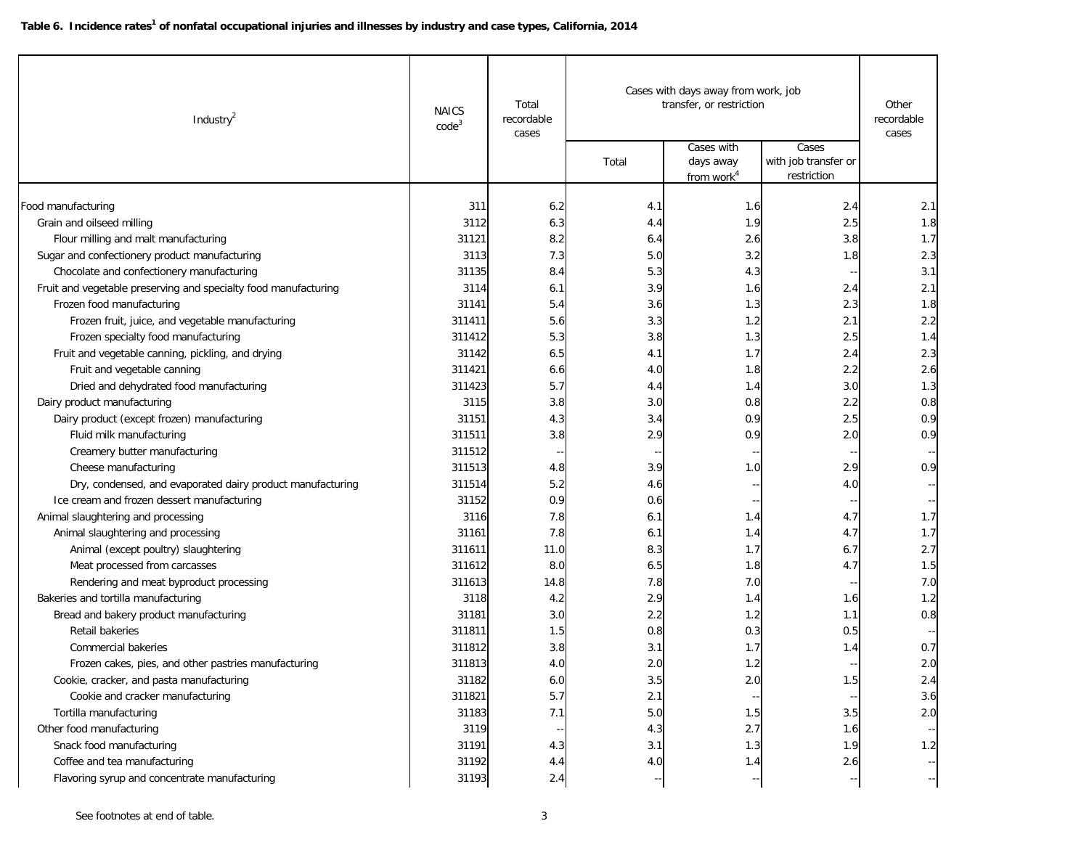| Industry <sup>2</sup>                                           | <b>NAICS</b><br>code <sup>3</sup> | Total<br>recordable<br>cases | Cases with days away from work, job<br>transfer, or restriction |                                                   |                                              | Other<br>recordable<br>cases |
|-----------------------------------------------------------------|-----------------------------------|------------------------------|-----------------------------------------------------------------|---------------------------------------------------|----------------------------------------------|------------------------------|
|                                                                 |                                   |                              | Total                                                           | Cases with<br>days away<br>from work <sup>4</sup> | Cases<br>with job transfer or<br>restriction |                              |
| Food manufacturing                                              | 311                               | 6.2                          | 4.1                                                             | 1.6                                               | 2.4                                          | 2.1                          |
| Grain and oilseed milling                                       | 3112                              | 6.3                          | 4.4                                                             | 1.9                                               | 2.5                                          | 1.8                          |
| Flour milling and malt manufacturing                            | 31121                             | 8.2                          | 6.4                                                             | 2.6                                               | 3.8                                          | 1.7                          |
| Sugar and confectionery product manufacturing                   | 3113                              | 7.3                          | 5.0                                                             | 3.2                                               | 1.8                                          | 2.3                          |
| Chocolate and confectionery manufacturing                       | 31135                             | 8.4                          | 5.3                                                             | 4.3                                               |                                              | 3.1                          |
| Fruit and vegetable preserving and specialty food manufacturing | 3114                              | 6.1                          | 3.9                                                             | 1.6                                               | 2.4                                          | 2.1                          |
| Frozen food manufacturing                                       | 31141                             | 5.4                          | 3.6                                                             | 1.3                                               | 2.3                                          | 1.8                          |
| Frozen fruit, juice, and vegetable manufacturing                | 311411                            | 5.6                          | 3.3                                                             | 1.2                                               | 2.1                                          | 2.2                          |
| Frozen specialty food manufacturing                             | 311412                            | 5.3                          | 3.8                                                             | 1.3                                               | 2.5                                          | 1.4                          |
| Fruit and vegetable canning, pickling, and drying               | 31142                             | 6.5                          | 4.1                                                             | 1.7                                               | 2.4                                          | 2.3                          |
| Fruit and vegetable canning                                     | 311421                            | 6.6                          | 4.0                                                             | 1.8                                               | 2.2                                          | 2.6                          |
| Dried and dehydrated food manufacturing                         | 311423                            | 5.7                          | 4.4                                                             | 1.4                                               | 3.0                                          | 1.3                          |
| Dairy product manufacturing                                     | 3115                              | 3.8                          | 3.0                                                             | 0.8                                               | 2.2                                          | 0.8                          |
| Dairy product (except frozen) manufacturing                     | 31151                             | 4.3                          | 3.4                                                             | 0.9                                               | 2.5                                          | 0.9                          |
| Fluid milk manufacturing                                        | 311511                            | 3.8                          | 2.9                                                             | 0.9                                               | 2.0                                          | 0.9                          |
| Creamery butter manufacturing                                   | 311512                            |                              |                                                                 |                                                   |                                              |                              |
| Cheese manufacturing                                            | 311513                            | 4.8                          | 3.9                                                             | 1.0                                               | 2.9                                          | 0.9                          |
| Dry, condensed, and evaporated dairy product manufacturing      | 311514                            | 5.2                          | 4.6                                                             |                                                   | 4.0                                          |                              |
| Ice cream and frozen dessert manufacturing                      | 31152                             | 0.9                          | 0.6                                                             |                                                   |                                              |                              |
| Animal slaughtering and processing                              | 3116                              | 7.8                          | 6.1                                                             | 1.4                                               | 4.7                                          | 1.7                          |
| Animal slaughtering and processing                              | 31161                             | 7.8                          | 6.1                                                             | 1.4                                               | 4.7                                          | 1.7                          |
| Animal (except poultry) slaughtering                            | 311611                            | 11.0                         | 8.3                                                             | 1.7                                               | 6.7                                          | 2.7                          |
| Meat processed from carcasses                                   | 311612                            | 8.0                          | 6.5                                                             | 1.8                                               | 4.7                                          | 1.5                          |
| Rendering and meat byproduct processing                         | 311613                            | 14.8                         | 7.8                                                             | 7.0                                               |                                              | 7.0                          |
| Bakeries and tortilla manufacturing                             | 3118                              | 4.2                          | 2.9                                                             | 1.4                                               | 1.6                                          | 1.2                          |
| Bread and bakery product manufacturing                          | 31181                             | 3.0                          | 2.2                                                             | 1.2                                               | 1.1                                          | 0.8                          |
| Retail bakeries                                                 | 311811                            | 1.5                          | 0.8                                                             | 0.3                                               | 0.5                                          |                              |
| <b>Commercial bakeries</b>                                      | 311812                            | 3.8                          | 3.1                                                             | 1.7                                               | 1.4                                          | 0.7                          |
| Frozen cakes, pies, and other pastries manufacturing            | 311813                            | 4.0                          | 2.0                                                             | 1.2                                               |                                              | 2.0                          |
| Cookie, cracker, and pasta manufacturing                        | 31182                             | 6.0                          | $3.5\,$                                                         | 2.0                                               | 1.5                                          | 2.4                          |
| Cookie and cracker manufacturing                                | 311821                            | 5.7                          | 2.1                                                             |                                                   |                                              | 3.6                          |
| Tortilla manufacturing                                          | 31183                             | 7.1                          | $5.0\,$                                                         | 1.5                                               | 3.5                                          | 2.0                          |
| Other food manufacturing                                        | 3119                              |                              | 4.3                                                             | 2.7                                               | 1.6                                          |                              |
| Snack food manufacturing                                        | 31191                             | 4.3                          | 3.1                                                             | 1.3                                               | 1.9                                          | 1.2                          |
| Coffee and tea manufacturing                                    | 31192                             | 4.4                          | 4.0                                                             | 1.4                                               | 2.6                                          | $\ddot{\phantom{0}}$         |
| Flavoring syrup and concentrate manufacturing                   | 31193                             | 2.4                          |                                                                 |                                                   |                                              | $\overline{\phantom{a}}$     |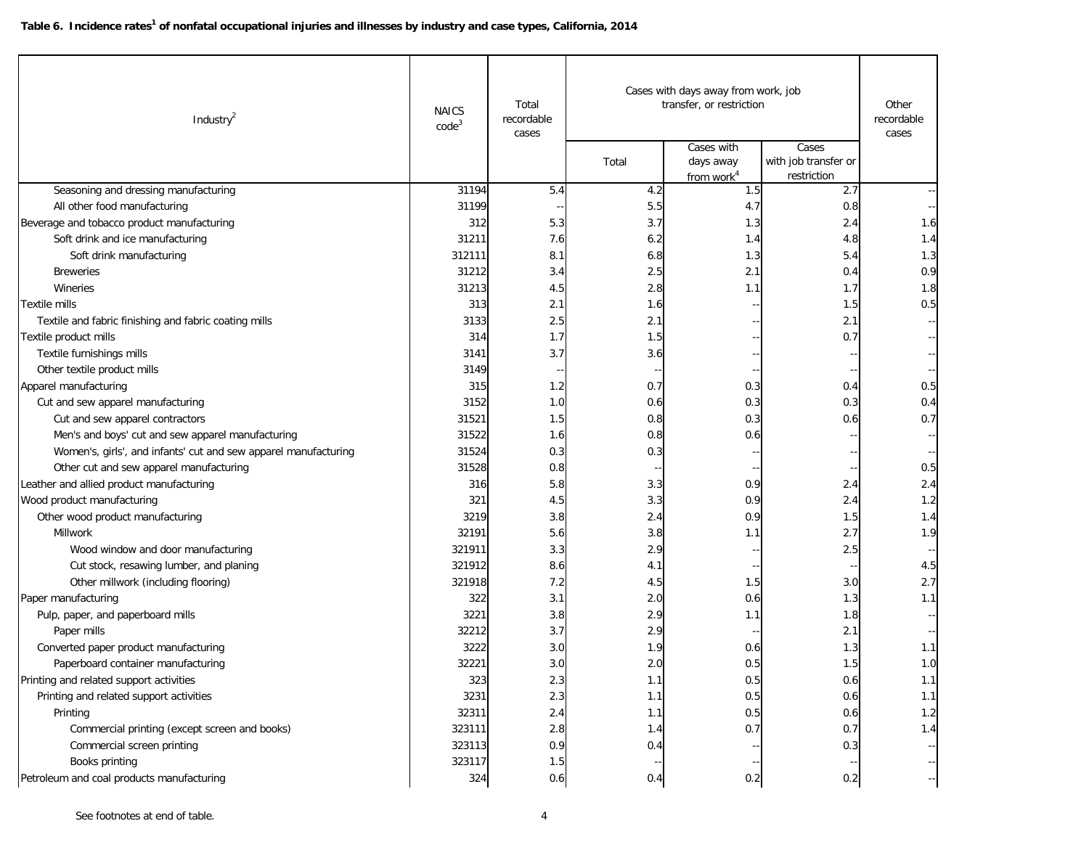| Industry $^2$                                                   | <b>NAICS</b><br>code <sup>3</sup> | Total<br>recordable<br>cases | Cases with days away from work, job<br>transfer, or restriction |                                                   |                                              | Other<br>recordable<br>cases                  |
|-----------------------------------------------------------------|-----------------------------------|------------------------------|-----------------------------------------------------------------|---------------------------------------------------|----------------------------------------------|-----------------------------------------------|
|                                                                 |                                   |                              | Total                                                           | Cases with<br>days away<br>from work <sup>4</sup> | Cases<br>with job transfer or<br>restriction |                                               |
| Seasoning and dressing manufacturing                            | 31194                             | 5.4                          | 4.2                                                             | 1.5                                               | 2.7                                          |                                               |
| All other food manufacturing                                    | 31199                             |                              | 5.5                                                             | 4.7                                               | 0.8                                          |                                               |
| Beverage and tobacco product manufacturing                      | 312                               | 5.3                          | 3.7                                                             | 1.3                                               | 2.4                                          | 1.6                                           |
| Soft drink and ice manufacturing                                | 31211                             | 7.6                          | 6.2                                                             | 1.4                                               | 4.8                                          | 1.4                                           |
| Soft drink manufacturing                                        | 312111                            | 8.1                          | 6.8                                                             | 1.3                                               | 5.4                                          | 1.3                                           |
| <b>Breweries</b>                                                | 31212                             | 3.4                          | 2.5                                                             | 2.1                                               | 0.4                                          | 0.9                                           |
| Wineries                                                        | 31213                             | 4.5                          | 2.8                                                             | 1.1                                               | 1.7                                          | 1.8                                           |
| Textile mills                                                   | 313                               | 2.1                          | 1.6                                                             |                                                   | 1.5                                          | 0.5                                           |
| Textile and fabric finishing and fabric coating mills           | 3133                              | 2.5                          | 2.1                                                             |                                                   | 2.1                                          |                                               |
| Textile product mills                                           | 314                               | 1.7                          | 1.5                                                             |                                                   | 0.7                                          |                                               |
| Textile furnishings mills                                       | 3141                              | 3.7                          | 3.6                                                             |                                                   |                                              |                                               |
| Other textile product mills                                     | 3149                              |                              |                                                                 |                                                   |                                              |                                               |
| Apparel manufacturing                                           | 315                               | 1.2                          | 0.7                                                             | 0.3                                               | 0.4                                          | 0.5                                           |
| Cut and sew apparel manufacturing                               | 3152                              | 1.0                          | 0.6                                                             | 0.3                                               | 0.3                                          | 0.4                                           |
| Cut and sew apparel contractors                                 | 31521                             | 1.5                          | 0.8                                                             | 0.3                                               | 0.6                                          | 0.7                                           |
| Men's and boys' cut and sew apparel manufacturing               | 31522                             | 1.6                          | 0.8                                                             | 0.6                                               |                                              |                                               |
| Women's, girls', and infants' cut and sew apparel manufacturing | 31524                             | 0.3                          | 0.3                                                             |                                                   |                                              |                                               |
| Other cut and sew apparel manufacturing                         | 31528                             | 0.8                          |                                                                 |                                                   |                                              | 0.5                                           |
| Leather and allied product manufacturing                        | 316                               | 5.8                          | 3.3                                                             | 0.9                                               | 2.4                                          | 2.4                                           |
| Wood product manufacturing                                      | 321                               | 4.5                          | 3.3                                                             | 0.9                                               | 2.4                                          | 1.2                                           |
| Other wood product manufacturing                                | 3219                              | 3.8                          | 2.4                                                             | 0.9                                               | 1.5                                          | 1.4                                           |
| Millwork                                                        | 32191                             | 5.6                          | 3.8                                                             | 1.1                                               | 2.7                                          | 1.9                                           |
| Wood window and door manufacturing                              | 321911                            | 3.3                          | 2.9                                                             |                                                   | 2.5                                          |                                               |
| Cut stock, resawing lumber, and planing                         | 321912                            | 8.6                          | 4.1                                                             |                                                   |                                              | 4.5                                           |
| Other millwork (including flooring)                             | 321918                            | 7.2                          | 4.5                                                             | 1.5                                               | 3.0                                          | 2.7                                           |
| Paper manufacturing                                             | 322                               | 3.1                          | 2.0                                                             | 0.6                                               | 1.3                                          | 1.1                                           |
| Pulp, paper, and paperboard mills                               | 3221                              | 3.8                          | 2.9                                                             | 1.1                                               | 1.8                                          |                                               |
| Paper mills                                                     | 32212                             | 3.7                          | 2.9                                                             |                                                   | 2.1                                          |                                               |
| Converted paper product manufacturing                           | 3222                              | 3.0                          | 1.9                                                             | 0.6                                               | 1.3                                          | 1.1                                           |
| Paperboard container manufacturing                              | 32221                             | 3.0                          | 2.0                                                             | 0.5                                               | 1.5                                          | 1.0                                           |
| Printing and related support activities                         | 323                               | 2.3                          | 1.1                                                             | 0.5                                               | 0.6                                          | 1.1                                           |
| Printing and related support activities                         | 3231                              | 2.3                          | 1.1                                                             | 0.5                                               | 0.6                                          | 1.1                                           |
| Printing                                                        | 32311                             | 2.4                          | 1.1                                                             | 0.5                                               | 0.6                                          | 1.2                                           |
| Commercial printing (except screen and books)                   | 323111                            | 2.8                          | 1.4                                                             | 0.7                                               | 0.7                                          | 1.4                                           |
| Commercial screen printing                                      | 323113                            | 0.9                          | 0.4                                                             |                                                   | 0.3                                          | $\mathord{\hspace{1pt}\text{--}\hspace{1pt}}$ |
| Books printing                                                  | 323117                            | 1.5                          |                                                                 |                                                   |                                              | $-$                                           |
| Petroleum and coal products manufacturing                       | 324                               | 0.6                          | 0.4                                                             | 0.2                                               | 0.2                                          | --                                            |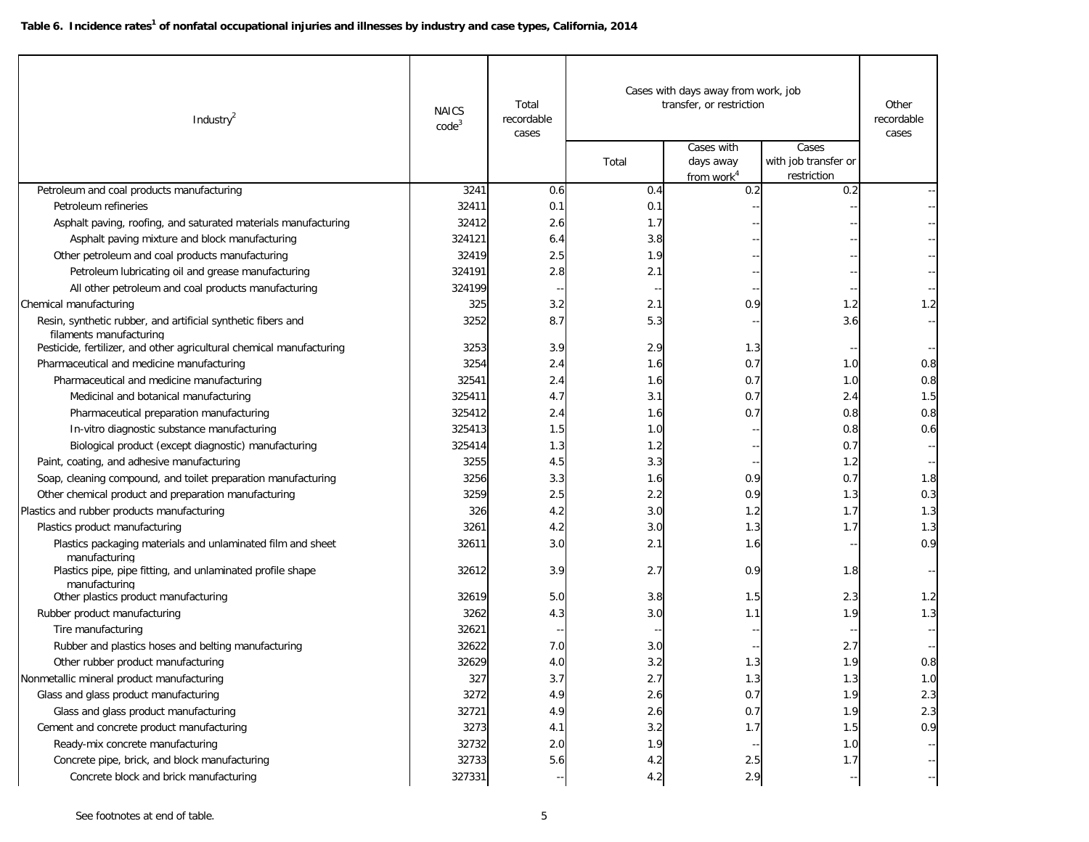| Industry <sup>2</sup>                                                                   | <b>NAICS</b><br>code <sup>3</sup> | Total<br>recordable<br>cases | transfer, or restriction | Cases with days away from work, job               | Other<br>recordable<br>cases                 |     |
|-----------------------------------------------------------------------------------------|-----------------------------------|------------------------------|--------------------------|---------------------------------------------------|----------------------------------------------|-----|
|                                                                                         |                                   |                              | Total                    | Cases with<br>days away<br>from work <sup>4</sup> | Cases<br>with job transfer or<br>restriction |     |
| Petroleum and coal products manufacturing                                               | 3241                              | 0.6                          | 0.4                      | 0.2                                               | 0.2                                          |     |
| Petroleum refineries                                                                    | 32411                             | 0.1                          | 0.1                      |                                                   |                                              |     |
| Asphalt paving, roofing, and saturated materials manufacturing                          | 32412                             | 2.6                          | 1.7                      |                                                   |                                              |     |
| Asphalt paving mixture and block manufacturing                                          | 324121                            | 6.4                          | 3.8                      |                                                   |                                              |     |
| Other petroleum and coal products manufacturing                                         | 32419                             | 2.5                          | 1.9                      |                                                   |                                              |     |
| Petroleum lubricating oil and grease manufacturing                                      | 324191                            | 2.8                          | 2.1                      |                                                   |                                              |     |
| All other petroleum and coal products manufacturing                                     | 324199                            |                              |                          |                                                   |                                              |     |
| Chemical manufacturing                                                                  | 325                               | 3.2                          | 2.1                      | 0.9                                               | 1.2                                          | 1.2 |
| Resin, synthetic rubber, and artificial synthetic fibers and<br>filaments manufacturing | 3252                              | 8.7                          | 5.3                      |                                                   | 3.6                                          |     |
| Pesticide, fertilizer, and other agricultural chemical manufacturing                    | 3253                              | 3.9                          | 2.9                      | 1.3                                               |                                              |     |
| Pharmaceutical and medicine manufacturing                                               | 3254                              | 2.4                          | 1.6                      | 0.7                                               | 1.0                                          | 0.8 |
| Pharmaceutical and medicine manufacturing                                               | 32541                             | 2.4                          | 1.6                      | 0.7                                               | 1.0                                          | 0.8 |
| Medicinal and botanical manufacturing                                                   | 325411                            | 4.7                          | 3.1                      | 0.7                                               | 2.4                                          | 1.5 |
| Pharmaceutical preparation manufacturing                                                | 325412                            | 2.4                          | 1.6                      | 0.7                                               | 0.8                                          | 0.8 |
| In-vitro diagnostic substance manufacturing                                             | 325413                            | 1.5                          | 1.0                      |                                                   | 0.8                                          | 0.6 |
| Biological product (except diagnostic) manufacturing                                    | 325414                            | 1.3                          | 1.2                      |                                                   | 0.7                                          |     |
| Paint, coating, and adhesive manufacturing                                              | 3255                              | 4.5                          | 3.3                      |                                                   | 1.2                                          |     |
| Soap, cleaning compound, and toilet preparation manufacturing                           | 3256                              | 3.3                          | 1.6                      | 0.9                                               | 0.7                                          | 1.8 |
| Other chemical product and preparation manufacturing                                    | 3259                              | 2.5                          | 2.2                      | 0.9                                               | 1.3                                          | 0.3 |
| Plastics and rubber products manufacturing                                              | 326                               | 4.2                          | 3.0                      | 1.2                                               | 1.7                                          | 1.3 |
| Plastics product manufacturing                                                          | 3261                              | 4.2                          | 3.0                      | 1.3                                               | 1.7                                          | 1.3 |
| Plastics packaging materials and unlaminated film and sheet<br>manufacturing            | 32611                             | 3.0                          | 2.1                      | 1.6                                               |                                              | 0.9 |
| Plastics pipe, pipe fitting, and unlaminated profile shape<br>manufacturing             | 32612                             | 3.9                          | 2.7                      | 0.9                                               | 1.8                                          |     |
| Other plastics product manufacturing                                                    | 32619                             | 5.0                          | 3.8                      | 1.5                                               | 2.3                                          | 1.2 |
| Rubber product manufacturing                                                            | 3262                              | 4.3                          | 3.0                      | 1.1                                               | 1.9                                          | 1.3 |
| Tire manufacturing                                                                      | 32621                             |                              |                          |                                                   |                                              |     |
| Rubber and plastics hoses and belting manufacturing                                     | 32622                             | 7.0                          | 3.0                      |                                                   | 2.7                                          |     |
| Other rubber product manufacturing                                                      | 32629                             | 4.0                          | 3.2                      | 1.3                                               | 1.9                                          | 0.8 |
| Nonmetallic mineral product manufacturing                                               | 327                               | 3.7                          | 2.7                      | 1.3                                               | 1.3                                          | 1.0 |
| Glass and glass product manufacturing                                                   | 3272                              | 4.9                          | 2.6                      | 0.7                                               | 1.9                                          | 2.3 |
| Glass and glass product manufacturing                                                   | 32721                             | 4.9                          | 2.6                      | 0.7                                               | 1.9                                          | 2.3 |
| Cement and concrete product manufacturing                                               | 3273                              | 4.1                          | 3.2                      | 1.7                                               | 1.5                                          | 0.9 |
| Ready-mix concrete manufacturing                                                        | 32732                             | 2.0                          | 1.9                      |                                                   | 1.0                                          | ₩,  |
| Concrete pipe, brick, and block manufacturing                                           | 32733                             | 5.6                          | $4.2\,$                  | 2.5                                               | 1.7                                          |     |
| Concrete block and brick manufacturing                                                  | 327331                            |                              | 4.2                      | 2.9                                               |                                              |     |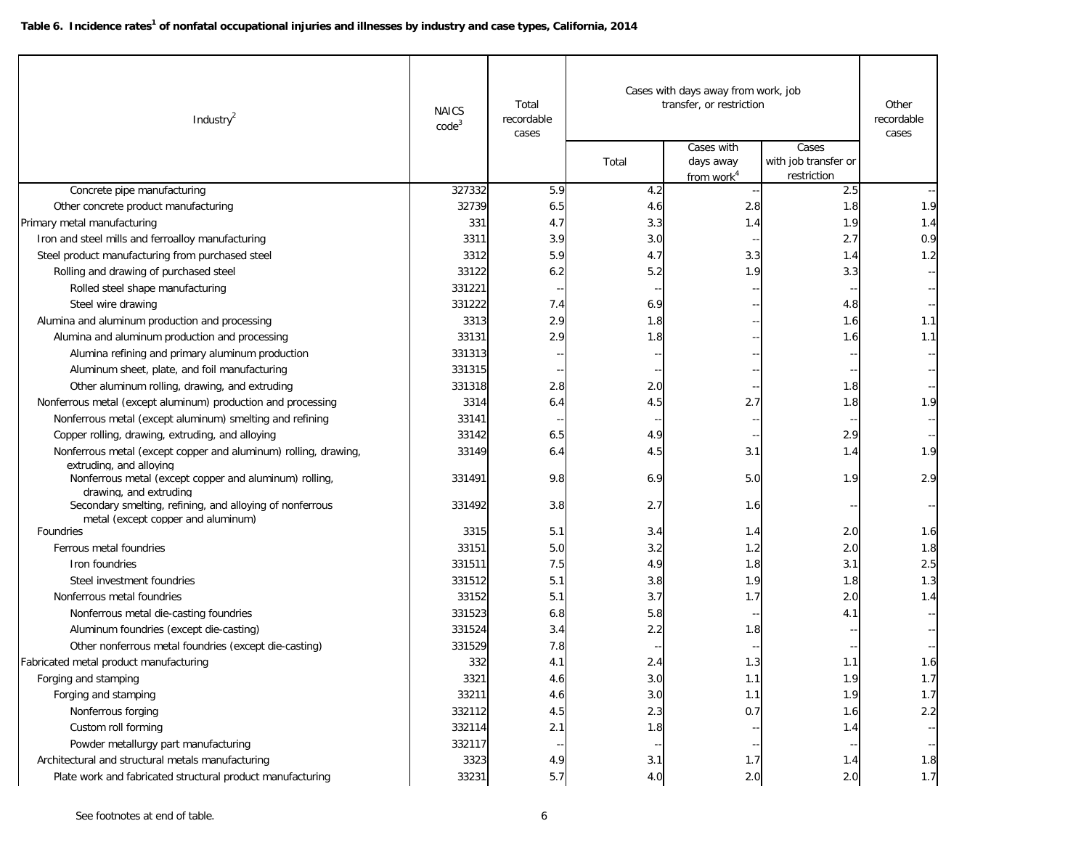| Industry $^2$                                                                                               | <b>NAICS</b><br>code <sup>3</sup> | Total<br>recordable<br>cases | Cases with days away from work, job<br>transfer, or restriction |                                                   |                                              | Other<br>recordable<br>cases |
|-------------------------------------------------------------------------------------------------------------|-----------------------------------|------------------------------|-----------------------------------------------------------------|---------------------------------------------------|----------------------------------------------|------------------------------|
|                                                                                                             |                                   |                              | Total                                                           | Cases with<br>days away<br>from work <sup>4</sup> | Cases<br>with job transfer or<br>restriction |                              |
| Concrete pipe manufacturing                                                                                 | 327332                            | 5.9                          | 4.2                                                             |                                                   | 2.5                                          |                              |
| Other concrete product manufacturing                                                                        | 32739                             | 6.5                          | 4.6                                                             | 2.8                                               | 1.8                                          | 1.9                          |
| Primary metal manufacturing                                                                                 | 331                               | 4.7                          | 3.3                                                             | 1.4                                               | 1.9                                          | 1.4                          |
| Iron and steel mills and ferroalloy manufacturing                                                           | 3311                              | 3.9                          | 3.0                                                             |                                                   | 2.7                                          | 0.9                          |
| Steel product manufacturing from purchased steel                                                            | 3312                              | 5.9                          | 4.7                                                             | 3.3                                               | 1.4                                          | 1.2                          |
| Rolling and drawing of purchased steel                                                                      | 33122                             | 6.2                          | 5.2                                                             | 1.9                                               | 3.3                                          |                              |
| Rolled steel shape manufacturing                                                                            | 331221                            | н,                           | $\overline{\phantom{a}}$                                        |                                                   |                                              |                              |
| Steel wire drawing                                                                                          | 331222                            | 7.4                          | 6.9                                                             |                                                   | 4.8                                          |                              |
| Alumina and aluminum production and processing                                                              | 3313                              | 2.9                          | 1.8                                                             |                                                   | 1.6                                          | 1.1                          |
| Alumina and aluminum production and processing                                                              | 33131                             | 2.9                          | 1.8                                                             |                                                   | 1.6                                          | 1.1                          |
| Alumina refining and primary aluminum production                                                            | 331313                            |                              |                                                                 |                                                   |                                              |                              |
| Aluminum sheet, plate, and foil manufacturing                                                               | 331315                            |                              |                                                                 |                                                   |                                              |                              |
| Other aluminum rolling, drawing, and extruding                                                              | 331318                            | 2.8                          | 2.0                                                             |                                                   | 1.8                                          |                              |
| Nonferrous metal (except aluminum) production and processing                                                | 3314                              | 6.4                          | 4.5                                                             | 2.7                                               | 1.8                                          | 1.9                          |
| Nonferrous metal (except aluminum) smelting and refining                                                    | 33141                             |                              |                                                                 |                                                   |                                              |                              |
| Copper rolling, drawing, extruding, and alloying                                                            | 33142                             | 6.5                          | 4.9                                                             |                                                   | 2.9                                          |                              |
| Nonferrous metal (except copper and aluminum) rolling, drawing,                                             | 33149                             | 6.4                          | 4.5                                                             | 3.1                                               | 1.4                                          | 1.9                          |
| extruding, and alloying<br>Nonferrous metal (except copper and aluminum) rolling,<br>drawing, and extruding | 331491                            | 9.8                          | 6.9                                                             | 5.0                                               | 1.9                                          | 2.9                          |
| Secondary smelting, refining, and alloying of nonferrous<br>metal (except copper and aluminum)              | 331492                            | 3.8                          | 2.7                                                             | 1.6                                               |                                              |                              |
| Foundries                                                                                                   | 3315                              | 5.1                          | 3.4                                                             | 1.4                                               | 2.0                                          | 1.6                          |
| Ferrous metal foundries                                                                                     | 33151                             | 5.0                          | 3.2                                                             | 1.2                                               | 2.0                                          | 1.8                          |
| Iron foundries                                                                                              | 331511                            | 7.5                          | 4.9                                                             | 1.8                                               | 3.1                                          | 2.5                          |
| Steel investment foundries                                                                                  | 331512                            | 5.1                          | 3.8                                                             | 1.9                                               | 1.8                                          | 1.3                          |
| Nonferrous metal foundries                                                                                  | 33152                             | 5.1                          | 3.7                                                             | 1.7                                               | 2.0                                          | 1.4                          |
| Nonferrous metal die-casting foundries                                                                      | 331523                            | 6.8                          | 5.8                                                             |                                                   | 4.1                                          |                              |
| Aluminum foundries (except die-casting)                                                                     | 331524                            | 3.4                          | 2.2                                                             | 1.8                                               |                                              |                              |
| Other nonferrous metal foundries (except die-casting)                                                       | 331529                            | 7.8                          |                                                                 |                                                   |                                              |                              |
| Fabricated metal product manufacturing                                                                      | 332                               | 4.1                          | 2.4                                                             | 1.3                                               | 1.1                                          | 1.6                          |
| Forging and stamping                                                                                        | 3321                              | 4.6                          | 3.0                                                             | 1.1                                               | 1.9                                          | 1.7                          |
| Forging and stamping                                                                                        | 33211                             | 4.6                          | 3.0                                                             | 1.1                                               | 1.9                                          | 1.7                          |
| Nonferrous forging                                                                                          | 332112                            | 4.5                          | $2.3$                                                           | 0.7                                               | 1.6                                          | 2.2                          |
| Custom roll forming                                                                                         | 332114                            | 2.1                          | 1.8                                                             |                                                   | 1.4                                          |                              |
| Powder metallurgy part manufacturing                                                                        | 332117                            |                              |                                                                 |                                                   |                                              |                              |
| Architectural and structural metals manufacturing                                                           | 3323                              | 4.9                          | 3.1                                                             | 1.7                                               | 1.4                                          | 1.8                          |
| Plate work and fabricated structural product manufacturing                                                  | 33231                             | 5.7                          | 4.0                                                             | 2.0                                               | 2.0                                          | 1.7                          |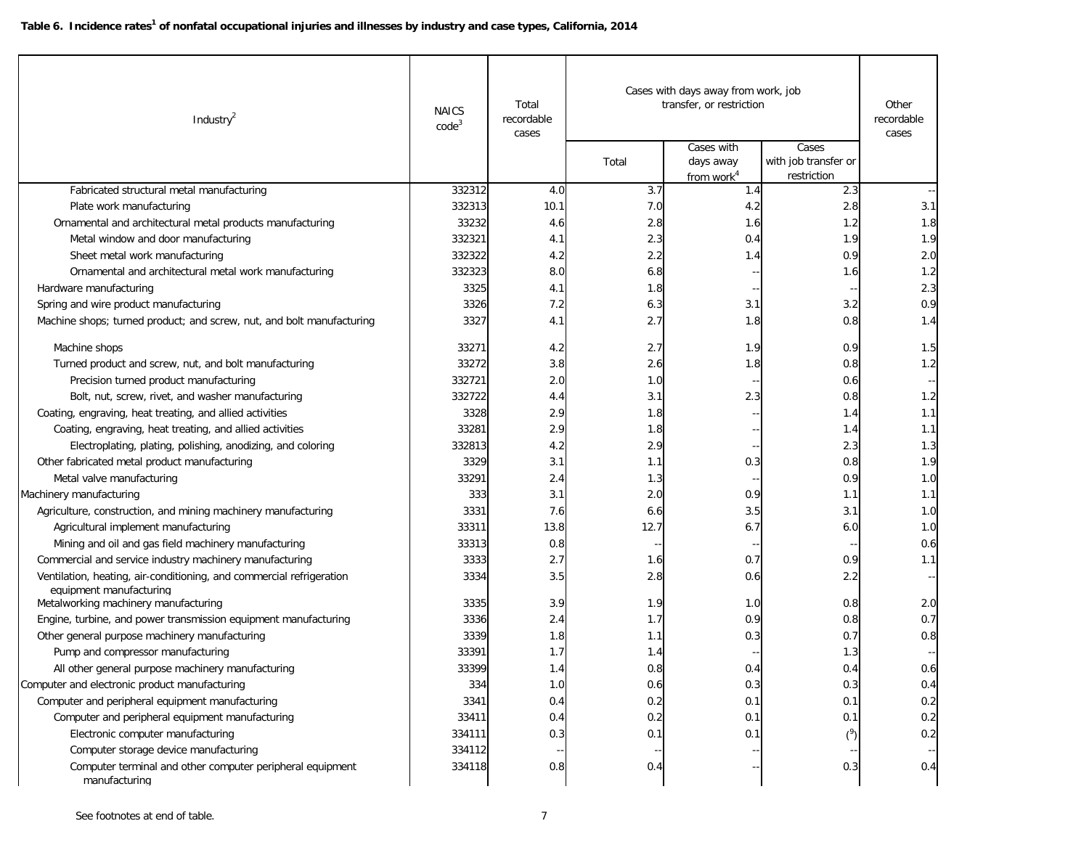| Industry <sup>2</sup>                                                      | <b>NAICS</b><br>code <sup>3</sup> | Total<br>recordable<br>cases |       | Cases with days away from work, job<br>transfer, or restriction<br>Cases with | Cases                               | Other<br>recordable<br>cases |
|----------------------------------------------------------------------------|-----------------------------------|------------------------------|-------|-------------------------------------------------------------------------------|-------------------------------------|------------------------------|
|                                                                            |                                   |                              | Total | days away<br>from work <sup>4</sup>                                           | with job transfer or<br>restriction |                              |
| Fabricated structural metal manufacturing                                  | 332312                            | 4.0                          | 3.7   | 1.4                                                                           | 2.3                                 |                              |
| Plate work manufacturing                                                   | 332313                            | 10.1                         | 7.0   | 4.2                                                                           | 2.8                                 | 3.1                          |
| Ornamental and architectural metal products manufacturing                  | 33232                             | 4.6                          | 2.8   | 1.6                                                                           | 1.2                                 | 1.8                          |
| Metal window and door manufacturing                                        | 332321                            | 4.1                          | 2.3   | 0.4                                                                           | 1.9                                 | 1.9                          |
| Sheet metal work manufacturing                                             | 332322                            | 4.2                          | 2.2   | 1.4                                                                           | 0.9                                 | 2.0                          |
| Ornamental and architectural metal work manufacturing                      | 332323                            | 8.0                          | 6.8   |                                                                               | 1.6                                 | 1.2                          |
| Hardware manufacturing                                                     | 3325                              | 4.1                          | 1.8   |                                                                               |                                     | 2.3                          |
| Spring and wire product manufacturing                                      | 3326                              | 7.2                          | 6.3   | 3.1                                                                           | 3.2                                 | 0.9                          |
| Machine shops; turned product; and screw, nut, and bolt manufacturing      | 3327                              | 4.1                          | 2.7   | 1.8                                                                           | 0.8                                 | 1.4                          |
| Machine shops                                                              | 33271                             | 4.2                          | 2.7   | 1.9                                                                           | 0.9                                 | 1.5                          |
| Turned product and screw, nut, and bolt manufacturing                      | 33272                             | 3.8                          | 2.6   | 1.8                                                                           | 0.8                                 | 1.2                          |
| Precision turned product manufacturing                                     | 332721                            | 2.0                          | 1.0   |                                                                               | 0.6                                 |                              |
| Bolt, nut, screw, rivet, and washer manufacturing                          | 332722                            | 4.4                          | 3.1   | 2.3                                                                           | 0.8                                 | 1.2                          |
| Coating, engraving, heat treating, and allied activities                   | 3328                              | 2.9                          | 1.8   |                                                                               | 1.4                                 | 1.1                          |
| Coating, engraving, heat treating, and allied activities                   | 33281                             | 2.9                          | 1.8   |                                                                               | 1.4                                 | 1.1                          |
| Electroplating, plating, polishing, anodizing, and coloring                | 332813                            | 4.2                          | 2.9   |                                                                               | 2.3                                 | 1.3                          |
| Other fabricated metal product manufacturing                               | 3329                              | 3.1                          | 1.1   | 0.3                                                                           | 0.8                                 | 1.9                          |
| Metal valve manufacturing                                                  | 33291                             | 2.4                          | 1.3   |                                                                               | 0.9                                 | 1.0                          |
| Machinery manufacturing                                                    | 333                               | 3.1                          | 2.0   | 0.9                                                                           | 1.1                                 | 1.1                          |
| Agriculture, construction, and mining machinery manufacturing              | 3331                              | 7.6                          | 6.6   | 3.5                                                                           | 3.1                                 | 1.0                          |
| Agricultural implement manufacturing                                       | 33311                             | 13.8                         | 12.7  | 6.7                                                                           | 6.0                                 | 1.0                          |
| Mining and oil and gas field machinery manufacturing                       | 33313                             | 0.8                          |       |                                                                               |                                     | 0.6                          |
| Commercial and service industry machinery manufacturing                    | 3333                              | 2.7                          | 1.6   | 0.7                                                                           | 0.9                                 | 1.1                          |
| Ventilation, heating, air-conditioning, and commercial refrigeration       | 3334                              | 3.5                          | 2.8   | 0.6                                                                           | 2.2                                 |                              |
| equipment manufacturing<br>Metalworking machinery manufacturing            | 3335                              | 3.9                          | 1.9   | 1.0                                                                           | 0.8                                 | 2.0                          |
| Engine, turbine, and power transmission equipment manufacturing            | 3336                              | 2.4                          | 1.7   | 0.9                                                                           | 0.8                                 | 0.7                          |
| Other general purpose machinery manufacturing                              | 3339                              | 1.8                          | 1.1   | 0.3                                                                           | 0.7                                 | 0.8                          |
| Pump and compressor manufacturing                                          | 33391                             | 1.7                          | 1.4   |                                                                               | 1.3                                 |                              |
| All other general purpose machinery manufacturing                          | 33399                             | 1.4                          | 0.8   | 0.4                                                                           | 0.4                                 | 0.6                          |
| Computer and electronic product manufacturing                              | 334                               | 1.0                          | 0.6   | 0.3                                                                           | 0.3                                 | 0.4                          |
| Computer and peripheral equipment manufacturing                            | 3341                              | 0.4                          | 0.2   | 0.1                                                                           | 0.1                                 | 0.2                          |
| Computer and peripheral equipment manufacturing                            | 33411                             | 0.4                          | 0.2   | 0.1                                                                           | 0.1                                 | 0.2                          |
| Electronic computer manufacturing                                          | 334111                            | 0.3                          | 0.1   | 0.1                                                                           | (3)                                 | 0.2                          |
| Computer storage device manufacturing                                      | 334112                            |                              |       |                                                                               |                                     |                              |
| Computer terminal and other computer peripheral equipment<br>manufacturing | 334118                            | 0.8                          | 0.4   |                                                                               | 0.3                                 | 0.4                          |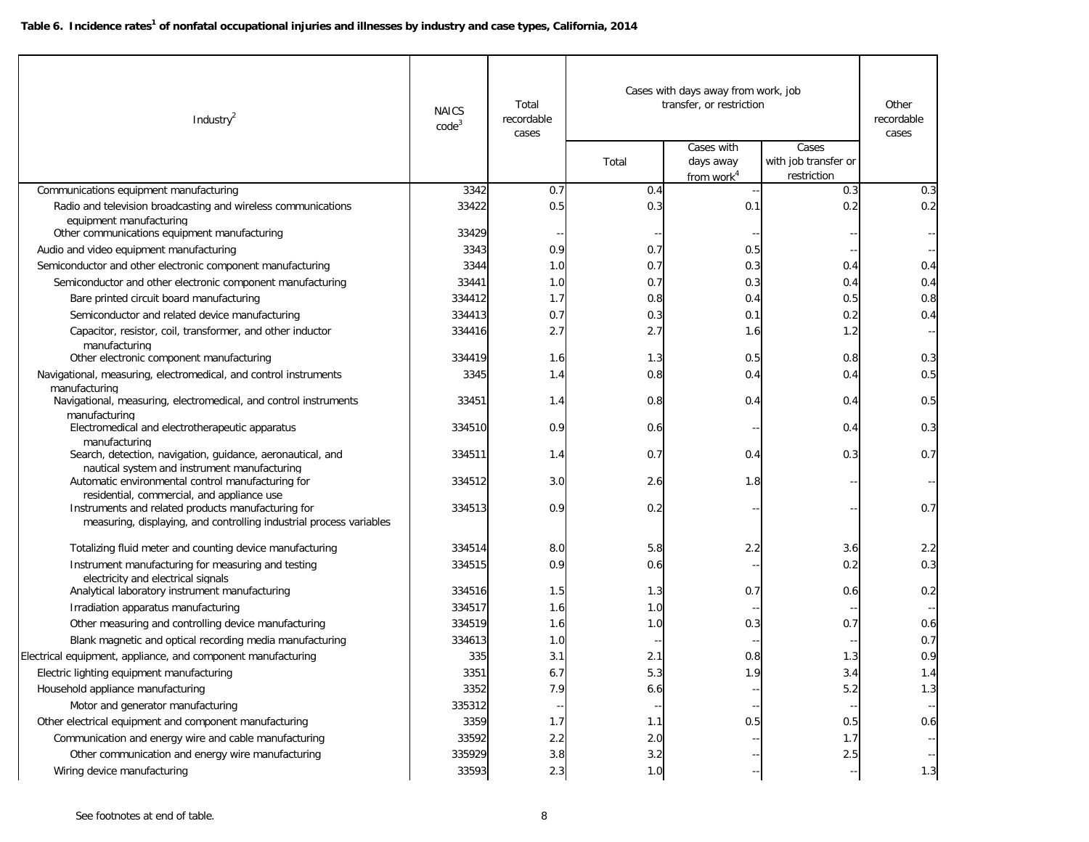| Industry <sup>2</sup>                                                                                                                                                   | <b>NAICS</b><br>code <sup>3</sup> | Total<br>recordable<br>cases | Cases with days away from work, job<br>transfer, or restriction | Other<br>recordable<br>cases             |                                              |     |
|-------------------------------------------------------------------------------------------------------------------------------------------------------------------------|-----------------------------------|------------------------------|-----------------------------------------------------------------|------------------------------------------|----------------------------------------------|-----|
|                                                                                                                                                                         |                                   |                              | Total                                                           | Cases with<br>days away<br>from work $4$ | Cases<br>with job transfer or<br>restriction |     |
| Communications equipment manufacturing                                                                                                                                  | 3342                              | 0.7                          | 0.4                                                             |                                          | 0.3                                          | 0.3 |
| Radio and television broadcasting and wireless communications<br>equipment manufacturing<br>Other communications equipment manufacturing                                | 33422<br>33429                    | 0.5                          | 0.3                                                             | 0.1                                      | 0.2                                          | 0.2 |
| Audio and video equipment manufacturing                                                                                                                                 | 3343                              | 0.9                          | 0.7                                                             | 0.5                                      |                                              |     |
| Semiconductor and other electronic component manufacturing                                                                                                              | 3344                              | 1.0                          | 0.7                                                             | 0.3                                      | 0.4                                          | 0.4 |
| Semiconductor and other electronic component manufacturing                                                                                                              | 33441                             | 1.0                          | 0.7                                                             | 0.3                                      | 0.4                                          | 0.4 |
| Bare printed circuit board manufacturing                                                                                                                                | 334412                            | 1.7                          | 0.8                                                             | 0.4                                      | 0.5                                          | 0.8 |
| Semiconductor and related device manufacturing                                                                                                                          | 334413                            | 0.7                          | 0.3                                                             | 0.1                                      | 0.2                                          | 0.4 |
| Capacitor, resistor, coil, transformer, and other inductor                                                                                                              | 334416                            | 2.7                          | 2.7                                                             | 1.6                                      | 1.2                                          |     |
| manufacturing                                                                                                                                                           |                                   |                              |                                                                 |                                          |                                              |     |
| Other electronic component manufacturing                                                                                                                                | 334419                            | 1.6                          | 1.3                                                             | 0.5                                      | 0.8                                          | 0.3 |
| Navigational, measuring, electromedical, and control instruments<br>manufacturing                                                                                       | 3345                              | 1.4                          | 0.8                                                             | 0.4                                      | 0.4                                          | 0.5 |
| Navigational, measuring, electromedical, and control instruments                                                                                                        | 33451                             | 1.4                          | 0.8                                                             | 0.4                                      | 0.4                                          | 0.5 |
| manufacturing<br>Electromedical and electrotherapeutic apparatus                                                                                                        | 334510                            | 0.9                          | 0.6                                                             |                                          | 0.4                                          | 0.3 |
| manufacturing<br>Search, detection, navigation, guidance, aeronautical, and                                                                                             | 334511                            | 1.4                          | 0.7                                                             | 0.4                                      | 0.3                                          | 0.7 |
| nautical system and instrument manufacturing<br>Automatic environmental control manufacturing for                                                                       | 334512                            | 3.0                          | 2.6                                                             | 1.8                                      |                                              |     |
| residential, commercial, and appliance use<br>Instruments and related products manufacturing for<br>measuring, displaying, and controlling industrial process variables | 334513                            | 0.9                          | 0.2                                                             |                                          |                                              | 0.7 |
| Totalizing fluid meter and counting device manufacturing                                                                                                                | 334514                            | 8.0                          | 5.8                                                             | 2.2                                      | 3.6                                          | 2.2 |
| Instrument manufacturing for measuring and testing<br>electricity and electrical signals                                                                                | 334515                            | 0.9                          | 0.6                                                             |                                          | 0.2                                          | 0.3 |
| Analytical laboratory instrument manufacturing                                                                                                                          | 334516                            | 1.5                          | 1.3                                                             | 0.7                                      | 0.6                                          | 0.2 |
| Irradiation apparatus manufacturing                                                                                                                                     | 334517                            | 1.6                          | 1.0                                                             |                                          |                                              |     |
| Other measuring and controlling device manufacturing                                                                                                                    | 334519                            | 1.6                          | 1.0                                                             | 0.3                                      | 0.7                                          | 0.6 |
| Blank magnetic and optical recording media manufacturing                                                                                                                | 334613                            | 1.0                          |                                                                 |                                          |                                              | 0.7 |
| Electrical equipment, appliance, and component manufacturing                                                                                                            | 335                               | 3.1                          | 2.1                                                             | 0.8                                      | 1.3                                          | 0.9 |
| Electric lighting equipment manufacturing                                                                                                                               | 3351                              | 6.7                          | b.3                                                             | 1.9                                      | 3.4                                          | 1.4 |
| Household appliance manufacturing                                                                                                                                       | 3352                              | 7.9                          | 6.6                                                             |                                          | 5.2                                          | 1.3 |
| Motor and generator manufacturing                                                                                                                                       | 335312                            |                              |                                                                 |                                          |                                              |     |
| Other electrical equipment and component manufacturing                                                                                                                  | 3359                              | 1.7                          | 1.1                                                             | 0.5                                      | 0.5                                          | 0.6 |
| Communication and energy wire and cable manufacturing                                                                                                                   | 33592                             | 2.2                          | 2.0                                                             |                                          | 1.7                                          |     |
| Other communication and energy wire manufacturing                                                                                                                       | 335929                            | $3.8\,$                      | 3.2                                                             |                                          | 2.5                                          |     |
| Wiring device manufacturing                                                                                                                                             | 33593                             | 2.3                          | 1.0                                                             |                                          |                                              | 1.3 |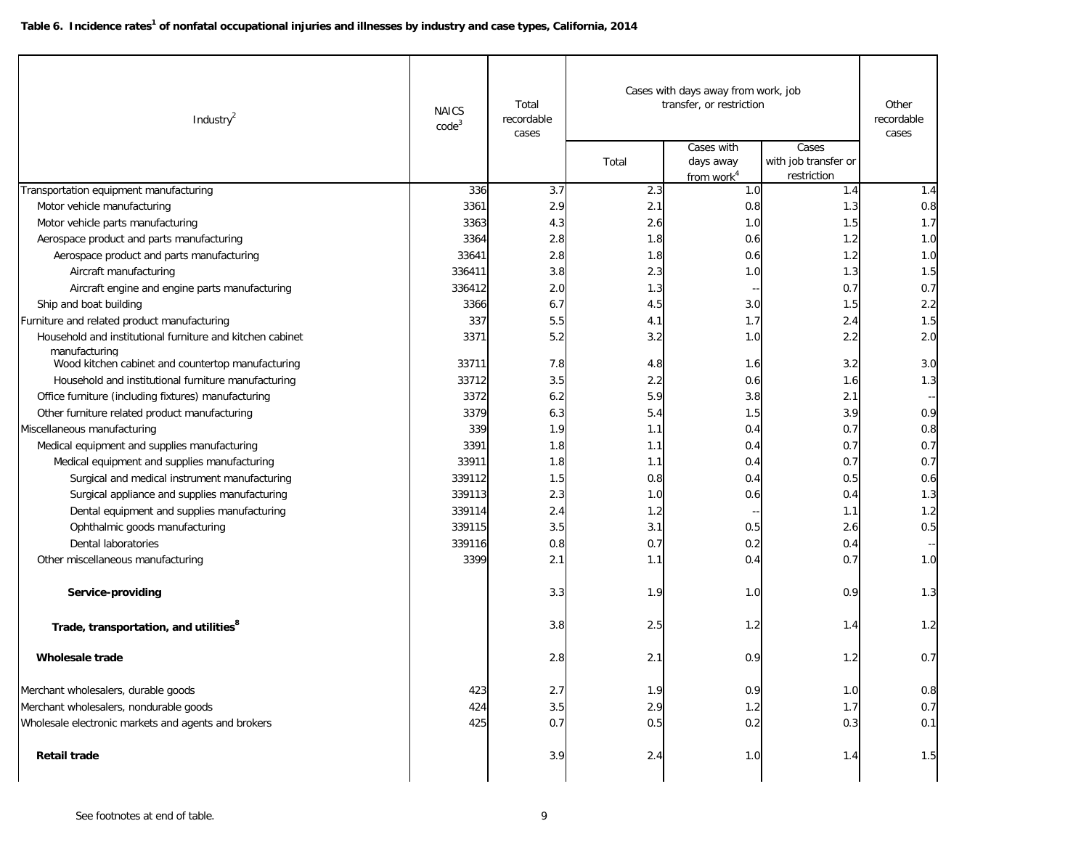| Industry <sup>2</sup>                                                      | <b>NAICS</b><br>code <sup>3</sup> | Total<br>recordable<br>cases | Total | Cases with days away from work, job<br>transfer, or restriction<br>Cases with<br>days away | Cases<br>with job transfer or | Other<br>recordable<br>cases |
|----------------------------------------------------------------------------|-----------------------------------|------------------------------|-------|--------------------------------------------------------------------------------------------|-------------------------------|------------------------------|
|                                                                            |                                   |                              |       | from work <sup>4</sup>                                                                     | restriction                   |                              |
| Transportation equipment manufacturing                                     | 336                               | 3.7                          | 2.3   | 1.0                                                                                        | 1.4                           | 1.4                          |
| Motor vehicle manufacturing                                                | 3361                              | 2.9                          | 2.1   | 0.8                                                                                        | 1.3                           | 0.8                          |
| Motor vehicle parts manufacturing                                          | 3363                              | 4.3                          | 2.6   | 1.0                                                                                        | 1.5                           | 1.7                          |
| Aerospace product and parts manufacturing                                  | 3364                              | 2.8                          | 1.8   | 0.6                                                                                        | 1.2                           | 1.0                          |
| Aerospace product and parts manufacturing                                  | 33641                             | 2.8                          | 1.8   | 0.6                                                                                        | 1.2                           | 1.0                          |
| Aircraft manufacturing                                                     | 336411                            | 3.8                          | 2.3   | 1.0                                                                                        | 1.3                           | 1.5                          |
| Aircraft engine and engine parts manufacturing                             | 336412                            | 2.0                          | 1.3   | н,                                                                                         | 0.7                           | 0.7                          |
| Ship and boat building                                                     | 3366                              | 6.7                          | 4.5   | 3.0                                                                                        | 1.5                           | 2.2                          |
| Furniture and related product manufacturing                                | 337                               | 5.5                          | 4.1   | 1.7                                                                                        | 2.4                           | 1.5                          |
| Household and institutional furniture and kitchen cabinet<br>manufacturing | 3371                              | 5.2                          | 3.2   | 1.0                                                                                        | 2.2                           | 2.0                          |
| Wood kitchen cabinet and countertop manufacturing                          | 33711                             | 7.8                          | 4.8   | 1.6                                                                                        | 3.2                           | 3.0                          |
| Household and institutional furniture manufacturing                        | 33712                             | 3.5                          | 2.2   | 0.6                                                                                        | 1.6                           | 1.3                          |
| Office furniture (including fixtures) manufacturing                        | 3372                              | 6.2                          | 5.9   | 3.8                                                                                        | 2.1                           |                              |
| Other furniture related product manufacturing                              | 3379                              | 6.3                          | 5.4   | 1.5                                                                                        | 3.9                           | 0.9                          |
| Miscellaneous manufacturing                                                | 339                               | 1.9                          | 1.1   | 0.4                                                                                        | 0.7                           | 0.8                          |
| Medical equipment and supplies manufacturing                               | 3391                              | 1.8                          | 1.1   | 0.4                                                                                        | 0.7                           | 0.7                          |
| Medical equipment and supplies manufacturing                               | 33911                             | 1.8                          | 1.1   | 0.4                                                                                        | 0.7                           | 0.7                          |
| Surgical and medical instrument manufacturing                              | 339112                            | 1.5                          | 0.8   | 0.4                                                                                        | 0.5                           | 0.6                          |
| Surgical appliance and supplies manufacturing                              | 339113                            | 2.3                          | 1.0   | 0.6                                                                                        | 0.4                           | 1.3                          |
| Dental equipment and supplies manufacturing                                | 339114                            | 2.4                          | 1.2   |                                                                                            | 1.1                           | 1.2                          |
| Ophthalmic goods manufacturing                                             | 339115                            | 3.5                          | 3.1   | 0.5                                                                                        | 2.6                           | 0.5                          |
| Dental laboratories                                                        | 339116                            | 0.8                          | 0.7   | 0.2                                                                                        | 0.4                           |                              |
| Other miscellaneous manufacturing                                          | 3399                              | 2.1                          | 1.1   | 0.4                                                                                        | 0.7                           | 1.0                          |
| Service-providing                                                          |                                   | 3.3                          | 1.9   | 1.0                                                                                        | 0.9                           | 1.3                          |
| Trade, transportation, and utilities <sup>8</sup>                          |                                   | 3.8                          | 2.5   | 1.2                                                                                        | 1.4                           | 1.2                          |
| Wholesale trade                                                            |                                   | 2.8                          | 2.1   | 0.9                                                                                        | 1.2                           | 0.7                          |
| Merchant wholesalers, durable goods                                        | 423                               | 2.7                          | 1.9   | 0.9                                                                                        | 1.0                           | 0.8                          |
| Merchant wholesalers, nondurable goods                                     | 424                               | 3.5                          | 2.9   | 1.2                                                                                        | 1.7                           | 0.7                          |
| Wholesale electronic markets and agents and brokers                        | 425                               | 0.7                          | 0.5   | 0.2                                                                                        | 0.3                           | 0.1                          |
| <b>Retail trade</b>                                                        |                                   | 3.9                          | 2.4   | 1.0                                                                                        | 1.4                           | 1.5                          |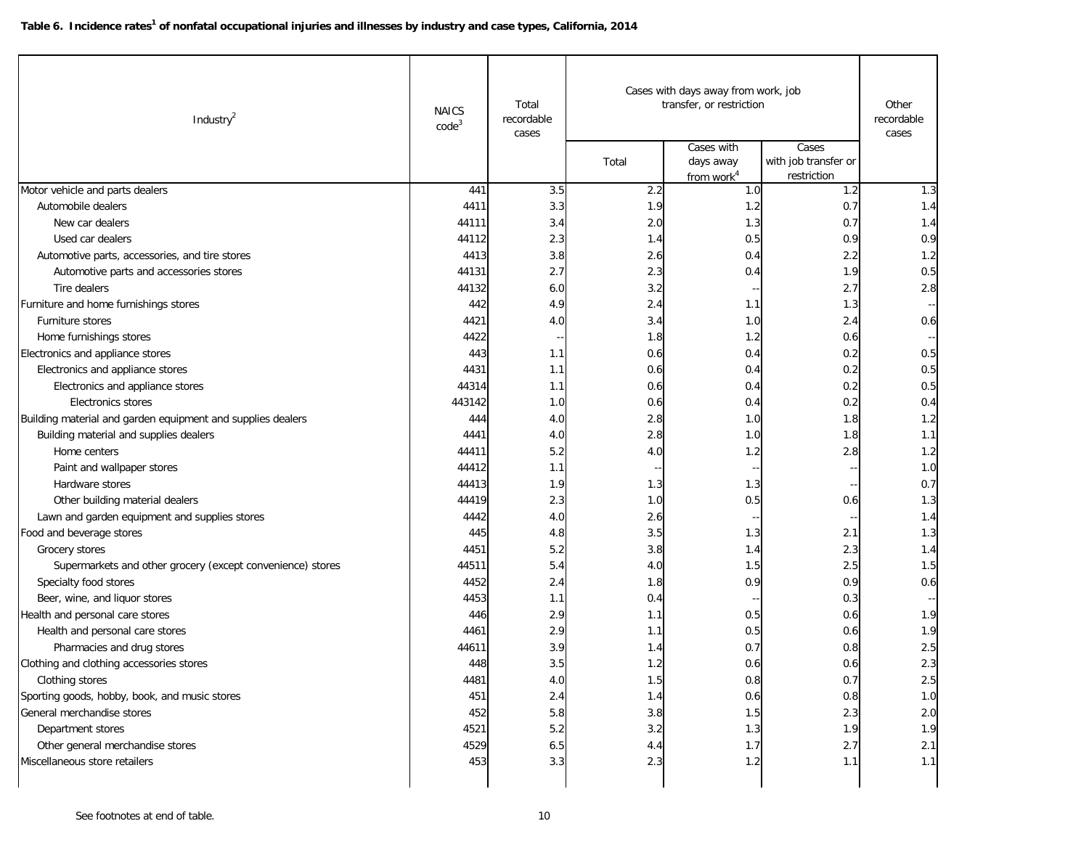| Industry $^2$                                               | <b>NAICS</b><br>code <sup>3</sup> | Total<br>recordable<br>cases | Cases with days away from work, job<br>transfer, or restriction | Other<br>recordable<br>cases                      |                                              |     |
|-------------------------------------------------------------|-----------------------------------|------------------------------|-----------------------------------------------------------------|---------------------------------------------------|----------------------------------------------|-----|
|                                                             |                                   |                              | Total                                                           | Cases with<br>days away<br>from work <sup>4</sup> | Cases<br>with job transfer or<br>restriction |     |
| Motor vehicle and parts dealers                             | 441                               | 3.5                          | 2.2                                                             | 1.0                                               | 1.2                                          | 1.3 |
| Automobile dealers                                          | 4411                              | 3.3                          | 1.9                                                             | 1.2                                               | 0.7                                          | 1.4 |
| New car dealers                                             | 44111                             | 3.4                          | 2.0                                                             | 1.3                                               | 0.7                                          | 1.4 |
| Used car dealers                                            | 44112                             | 2.3                          | 1.4                                                             | 0.5                                               | 0.9                                          | 0.9 |
| Automotive parts, accessories, and tire stores              | 4413                              | 3.8                          | 2.6                                                             | 0.4                                               | 2.2                                          | 1.2 |
| Automotive parts and accessories stores                     | 44131                             | 2.7                          | 2.3                                                             | 0.4                                               | 1.9                                          | 0.5 |
| Tire dealers                                                | 44132                             | 6.0                          | 3.2                                                             | $\overline{\phantom{a}}$                          | 2.7                                          | 2.8 |
| Furniture and home furnishings stores                       | 442                               | 4.9                          | 2.4                                                             | 1.1                                               | 1.3                                          |     |
| Furniture stores                                            | 4421                              | 4.0                          | 3.4                                                             | 1.0                                               | 2.4                                          | 0.6 |
| Home furnishings stores                                     | 4422                              |                              | 1.8                                                             | 1.2                                               | 0.6                                          |     |
| Electronics and appliance stores                            | 443                               | 1.1                          | 0.6                                                             | 0.4                                               | 0.2                                          | 0.5 |
| Electronics and appliance stores                            | 4431                              | 1.1                          | 0.6                                                             | 0.4                                               | 0.2                                          | 0.5 |
| Electronics and appliance stores                            | 44314                             | 1.1                          | 0.6                                                             | 0.4                                               | 0.2                                          | 0.5 |
| Electronics stores                                          | 443142                            | 1.0                          | 0.6                                                             | 0.4                                               | 0.2                                          | 0.4 |
| Building material and garden equipment and supplies dealers | 444                               | 4.0                          | 2.8                                                             | 1.0                                               | 1.8                                          | 1.2 |
| Building material and supplies dealers                      | 4441                              | 4.0                          | 2.8                                                             | 1.0                                               | 1.8                                          | 1.1 |
| Home centers                                                | 44411                             | 5.2                          | 4.0                                                             | 1.2                                               | 2.8                                          | 1.2 |
| Paint and wallpaper stores                                  | 44412                             | 1.1                          |                                                                 | $\overline{\phantom{a}}$                          |                                              | 1.0 |
| Hardware stores                                             | 44413                             | 1.9                          | 1.3                                                             | 1.3                                               |                                              | 0.7 |
| Other building material dealers                             | 44419                             | 2.3                          | 1.0                                                             | 0.5                                               | 0.6                                          | 1.3 |
| Lawn and garden equipment and supplies stores               | 4442                              | 4.0                          | 2.6                                                             |                                                   |                                              | 1.4 |
| Food and beverage stores                                    | 445                               | 4.8                          | 3.5                                                             | 1.3                                               | 2.1                                          | 1.3 |
| Grocery stores                                              | 4451                              | 5.2                          | 3.8                                                             | 1.4                                               | 2.3                                          | 1.4 |
| Supermarkets and other grocery (except convenience) stores  | 44511                             | 5.4                          | 4.0                                                             | 1.5                                               | 2.5                                          | 1.5 |
| Specialty food stores                                       | 4452                              | 2.4                          | 1.8                                                             | 0.9                                               | 0.9                                          | 0.6 |
| Beer, wine, and liquor stores                               | 4453                              | 1.1                          | 0.4                                                             |                                                   | 0.3                                          |     |
| Health and personal care stores                             | 446                               | 2.9                          | 1.1                                                             | 0.5                                               | 0.6                                          | 1.9 |
| Health and personal care stores                             | 4461                              | 2.9                          | 1.1                                                             | 0.5                                               | 0.6                                          | 1.9 |
| Pharmacies and drug stores                                  | 44611                             | 3.9                          | 1.4                                                             | 0.7                                               | 0.8                                          | 2.5 |
| Clothing and clothing accessories stores                    | 448                               | 3.5                          | 1.2                                                             | 0.6                                               | 0.6                                          | 2.3 |
| Clothing stores                                             | 4481                              | 4.0                          | 1.5                                                             | 0.8                                               | 0.7                                          | 2.5 |
| Sporting goods, hobby, book, and music stores               | 451                               | 2.4                          | 1.4                                                             | 0.6                                               | 0.8                                          | 1.0 |
| General merchandise stores                                  | 452                               | 5.8                          | 3.8                                                             | $1.5$                                             | 2.3                                          | 2.0 |
| Department stores                                           | 4521                              | 5.2                          | 3.2                                                             | 1.3                                               | 1.9                                          | 1.9 |
| Other general merchandise stores                            | 4529                              | 6.5                          | 4.4                                                             | 1.7                                               | 2.7                                          | 2.1 |
| Miscellaneous store retailers                               | 453                               | 3.3                          | 2.3                                                             | 1.2                                               | 1.1                                          | 1.1 |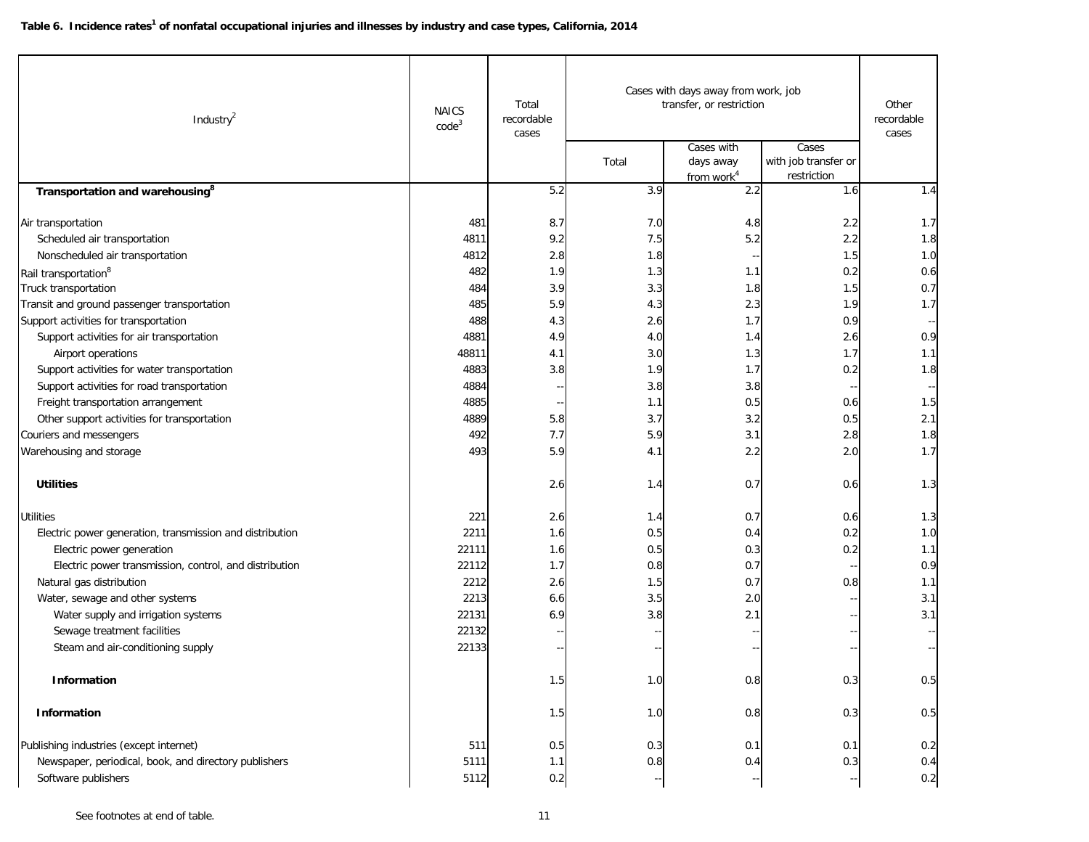| Industry <sup>2</sup>                                    | <b>NAICS</b><br>code <sup>3</sup> | Total<br>recordable<br>cases | Cases with days away from work, job<br>transfer, or restriction<br>Cases with<br>Cases |                                     |                                     | Other<br>recordable<br>cases |
|----------------------------------------------------------|-----------------------------------|------------------------------|----------------------------------------------------------------------------------------|-------------------------------------|-------------------------------------|------------------------------|
|                                                          |                                   |                              | Total                                                                                  | days away<br>from work <sup>4</sup> | with job transfer or<br>restriction |                              |
| Transportation and warehousing <sup>8</sup>              |                                   | 5.2                          | 3.9                                                                                    | 2.2                                 | 1.6                                 | 1.4                          |
| Air transportation                                       | 481                               | 8.7                          | 7.0                                                                                    | 4.8                                 | 2.2                                 | 1.7                          |
| Scheduled air transportation                             | 4811                              | 9.2                          | 7.5                                                                                    | 5.2                                 | 2.2                                 | 1.8                          |
| Nonscheduled air transportation                          | 4812                              | 2.8                          | 1.8                                                                                    |                                     | 1.5                                 | 1.0                          |
| Rail transportation <sup>8</sup>                         | 482                               | 1.9                          | 1.3                                                                                    | 1.1                                 | 0.2                                 | 0.6                          |
| Truck transportation                                     | 484                               | 3.9                          | 3.3                                                                                    | 1.8                                 | 1.5                                 | 0.7                          |
| Transit and ground passenger transportation              | 485                               | 5.9                          | 4.3                                                                                    | 2.3                                 | 1.9                                 | 1.7                          |
| Support activities for transportation                    | 488                               | 4.3                          | 2.6                                                                                    | 1.7                                 | 0.9                                 |                              |
| Support activities for air transportation                | 4881                              | 4.9                          | 4.0                                                                                    | 1.4                                 | 2.6                                 | 0.9                          |
| Airport operations                                       | 48811                             | 4.1                          | 3.0                                                                                    | 1.3                                 | 1.7                                 | 1.1                          |
| Support activities for water transportation              | 4883                              | 3.8                          | 1.9                                                                                    | 1.7                                 | 0.2                                 | 1.8                          |
| Support activities for road transportation               | 4884                              | $\overline{\phantom{a}}$     | 3.8                                                                                    | 3.8                                 |                                     |                              |
| Freight transportation arrangement                       | 4885                              |                              | 1.1                                                                                    | 0.5                                 | 0.6                                 | 1.5                          |
| Other support activities for transportation              | 4889                              | 5.8                          | 3.7                                                                                    | 3.2                                 | 0.5                                 | 2.1                          |
| Couriers and messengers                                  | 492                               | 7.7                          | 5.9                                                                                    | 3.1                                 | 2.8                                 | 1.8                          |
| Warehousing and storage                                  | 493                               | 5.9                          | 4.1                                                                                    | 2.2                                 | 2.0                                 | 1.7                          |
| <b>Utilities</b>                                         |                                   | 2.6                          | 1.4                                                                                    | 0.7                                 | 0.6                                 | 1.3                          |
| <b>Utilities</b>                                         | 221                               | 2.6                          | 1.4                                                                                    | 0.7                                 | 0.6                                 | 1.3                          |
| Electric power generation, transmission and distribution | 2211                              | 1.6                          | 0.5                                                                                    | 0.4                                 | 0.2                                 | 1.0                          |
| Electric power generation                                | 22111                             | 1.6                          | 0.5                                                                                    | 0.3                                 | 0.2                                 | 1.1                          |
| Electric power transmission, control, and distribution   | 22112                             | 1.7                          | 0.8                                                                                    | 0.7                                 |                                     | 0.9                          |
| Natural gas distribution                                 | 2212                              | 2.6                          | 1.5                                                                                    | 0.7                                 | 0.8                                 | 1.1                          |
| Water, sewage and other systems                          | 2213                              | 6.6                          | 3.5                                                                                    | 2.0                                 |                                     | 3.1                          |
| Water supply and irrigation systems                      | 22131                             | 6.9                          | 3.8                                                                                    | 2.1                                 |                                     | 3.1                          |
| Sewage treatment facilities                              | 22132                             |                              |                                                                                        |                                     |                                     |                              |
| Steam and air-conditioning supply                        | 22133                             |                              |                                                                                        |                                     |                                     |                              |
| Information                                              |                                   | 1.5                          | 1.0                                                                                    | 0.8                                 | 0.3                                 | 0.5                          |
| Information                                              |                                   | 1.5                          | 1.0                                                                                    | 0.8                                 | 0.3                                 | 0.5                          |
| Publishing industries (except internet)                  | 511                               | 0.5                          | 0.3                                                                                    | 0.1                                 | 0.1                                 | 0.2                          |
| Newspaper, periodical, book, and directory publishers    | 5111                              | 1.1                          | 0.8                                                                                    | 0.4                                 | 0.3                                 | 0.4                          |
| Software publishers                                      | 5112                              | 0.2                          |                                                                                        |                                     |                                     | 0.2                          |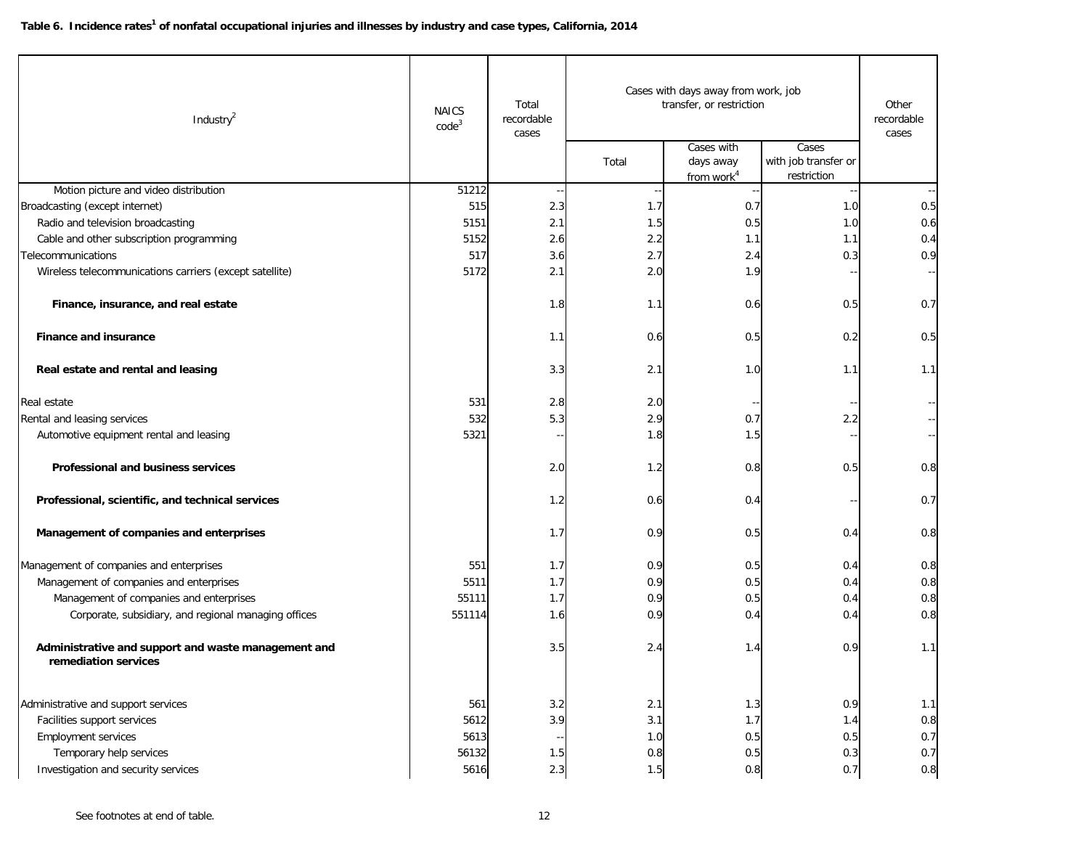| Industry $2$                                                                | <b>NAICS</b><br>code <sup>3</sup> | Total<br>recordable<br>cases | Cases with days away from work, job<br>transfer, or restriction |                                                   |                                              | Other<br>recordable<br>cases |
|-----------------------------------------------------------------------------|-----------------------------------|------------------------------|-----------------------------------------------------------------|---------------------------------------------------|----------------------------------------------|------------------------------|
|                                                                             |                                   |                              | Total                                                           | Cases with<br>days away<br>from work <sup>4</sup> | Cases<br>with job transfer or<br>restriction |                              |
| Motion picture and video distribution                                       | 51212                             |                              |                                                                 |                                                   |                                              |                              |
| Broadcasting (except internet)                                              | 515                               | 2.3                          | 1.7                                                             | 0.7                                               | 1.0                                          | 0.5                          |
| Radio and television broadcasting                                           | 5151                              | 2.1                          | 1.5                                                             | 0.5                                               | 1.0                                          | 0.6                          |
| Cable and other subscription programming                                    | 5152                              | 2.6                          | 2.2                                                             | 1.1                                               | 1.1                                          | 0.4                          |
| <b>Telecommunications</b>                                                   | 517                               | 3.6                          | 2.7                                                             | 2.4                                               | 0.3                                          | 0.9                          |
| Wireless telecommunications carriers (except satellite)                     | 5172                              | 2.1                          | 2.0                                                             | 1.9                                               |                                              | н,                           |
| Finance, insurance, and real estate                                         |                                   | 1.8                          | 1.1                                                             | 0.6                                               | 0.5                                          | 0.7                          |
| <b>Finance and insurance</b>                                                |                                   | 1.1                          | 0.6                                                             | 0.5                                               | 0.2                                          | 0.5                          |
| Real estate and rental and leasing                                          |                                   | 3.3                          | 2.1                                                             | 1.0                                               | 1.1                                          | 1.1                          |
| Real estate                                                                 | 531                               | 2.8                          | 2.0                                                             |                                                   |                                              |                              |
| Rental and leasing services                                                 | 532                               | 5.3                          | 2.9                                                             | 0.7                                               | 2.2                                          |                              |
| Automotive equipment rental and leasing                                     | 5321                              |                              | 1.8                                                             | 1.5                                               |                                              |                              |
| Professional and business services                                          |                                   | 2.0                          | 1.2                                                             | 0.8                                               | 0.5                                          | 0.8                          |
| Professional, scientific, and technical services                            |                                   | 1.2                          | 0.6                                                             | 0.4                                               |                                              | 0.7                          |
| Management of companies and enterprises                                     |                                   | 1.7                          | 0.9                                                             | 0.5                                               | 0.4                                          | 0.8                          |
| Management of companies and enterprises                                     | 551                               | 1.7                          | 0.9                                                             | 0.5                                               | 0.4                                          | 0.8                          |
| Management of companies and enterprises                                     | 5511                              | 1.7                          | 0.9                                                             | 0.5                                               | 0.4                                          | 0.8                          |
| Management of companies and enterprises                                     | 55111                             | 1.7                          | 0.9                                                             | 0.5                                               | 0.4                                          | 0.8                          |
| Corporate, subsidiary, and regional managing offices                        | 551114                            | 1.6                          | 0.9                                                             | 0.4                                               | 0.4                                          | 0.8                          |
| Administrative and support and waste management and<br>remediation services |                                   | 3.5                          | 2.4                                                             | 1.4                                               | 0.9                                          | 1.1                          |
| Administrative and support services                                         | 561                               | 3.2                          | 2.1                                                             | 1.3                                               | 0.9                                          | 1.1                          |
| Facilities support services                                                 | 5612                              | 3.9                          | 3.1                                                             | 1.7                                               | 1.4                                          | 0.8                          |
| <b>Employment services</b>                                                  | 5613                              |                              | 1.0                                                             | 0.5                                               | 0.5                                          | 0.7                          |
| Temporary help services                                                     | 56132                             | 1.5                          | 0.8                                                             | 0.5                                               | 0.3                                          | 0.7                          |
| Investigation and security services                                         | 5616                              | 2.3                          | 1.5                                                             | 0.8                                               | 0.7                                          | $0.8\,$                      |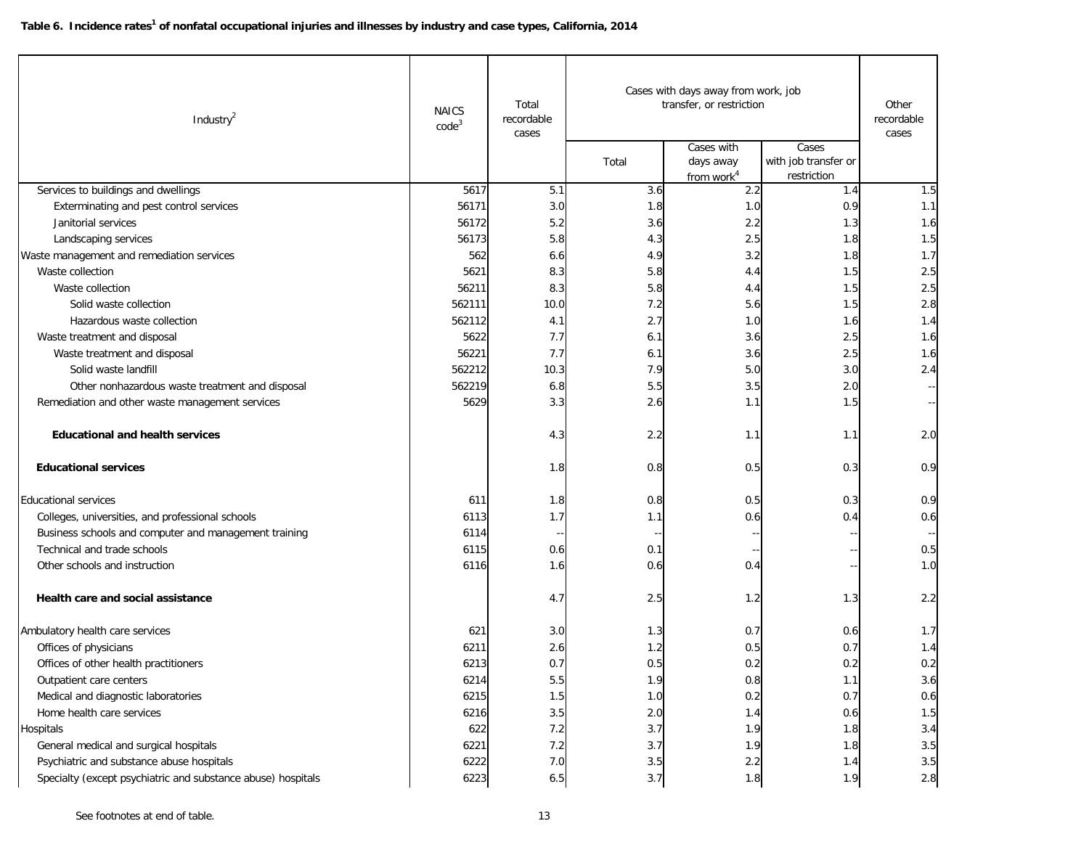| Industry <sup>2</sup>                                        | <b>NAICS</b><br>code <sup>3</sup> | Total<br>recordable<br>cases | Cases with days away from work, job<br>transfer, or restriction |                                                   |                                              | Other<br>recordable<br>cases |
|--------------------------------------------------------------|-----------------------------------|------------------------------|-----------------------------------------------------------------|---------------------------------------------------|----------------------------------------------|------------------------------|
|                                                              |                                   |                              | Total                                                           | Cases with<br>days away<br>from work <sup>4</sup> | Cases<br>with job transfer or<br>restriction |                              |
| Services to buildings and dwellings                          | 5617                              | 5.1                          | 3.6                                                             | 2.2                                               | 1.4                                          | 1.5                          |
| Exterminating and pest control services                      | 56171                             | 3.0                          | 1.8                                                             | 1.0                                               | 0.9                                          | 1.1                          |
| Janitorial services                                          | 56172                             | 5.2                          | 3.6                                                             | 2.2                                               | 1.3                                          | 1.6                          |
| Landscaping services                                         | 56173                             | 5.8                          | 4.3                                                             | 2.5                                               | 1.8                                          | 1.5                          |
| Waste management and remediation services                    | 562                               | 6.6                          | 4.9                                                             | 3.2                                               | 1.8                                          | 1.7                          |
| Waste collection                                             | 5621                              | 8.3                          | 5.8                                                             | 4.4                                               | 1.5                                          | 2.5                          |
| Waste collection                                             | 56211                             | 8.3                          | 5.8                                                             | 4.4                                               | 1.5                                          | 2.5                          |
| Solid waste collection                                       | 562111                            | 10.0                         | 7.2                                                             | 5.6                                               | 1.5                                          | 2.8                          |
| Hazardous waste collection                                   | 562112                            | 4.1                          | 2.7                                                             | 1.0                                               | 1.6                                          | 1.4                          |
| Waste treatment and disposal                                 | 5622                              | 7.7                          | 6.1                                                             | 3.6                                               | 2.5                                          | 1.6                          |
| Waste treatment and disposal                                 | 56221                             | 7.7                          | 6.1                                                             | 3.6                                               | 2.5                                          | 1.6                          |
| Solid waste landfill                                         | 562212                            | 10.3                         | 7.9                                                             | 5.0                                               | 3.0                                          | 2.4                          |
| Other nonhazardous waste treatment and disposal              | 562219                            | 6.8                          | 5.5                                                             | 3.5                                               | 2.0                                          |                              |
| Remediation and other waste management services              | 5629                              | 3.3                          | 2.6                                                             | 1.1                                               | 1.5                                          |                              |
| <b>Educational and health services</b>                       |                                   | 4.3                          | 2.2                                                             | 1.1                                               | 1.1                                          | 2.0                          |
| <b>Educational services</b>                                  |                                   | 1.8                          | 0.8                                                             | 0.5                                               | 0.3                                          | 0.9                          |
| <b>Educational services</b>                                  | 611                               | 1.8                          | 0.8                                                             | 0.5                                               | 0.3                                          | 0.9                          |
| Colleges, universities, and professional schools             | 6113                              | 1.7                          | 1.1                                                             | 0.6                                               | 0.4                                          | 0.6                          |
| Business schools and computer and management training        | 6114                              |                              |                                                                 |                                                   |                                              |                              |
| Technical and trade schools                                  | 6115                              | 0.6                          | 0.1                                                             |                                                   |                                              | 0.5                          |
| Other schools and instruction                                | 6116                              | 1.6                          | 0.6                                                             | 0.4                                               |                                              | 1.0                          |
| Health care and social assistance                            |                                   | 4.7                          | 2.5                                                             | 1.2                                               | 1.3                                          | 2.2                          |
| Ambulatory health care services                              | 621                               | 3.0                          | 1.3                                                             | 0.7                                               | 0.6                                          | 1.7                          |
| Offices of physicians                                        | 6211                              | 2.6                          | 1.2                                                             | 0.5                                               | 0.7                                          | 1.4                          |
| Offices of other health practitioners                        | 6213                              | 0.7                          | 0.5                                                             | 0.2                                               | 0.2                                          | 0.2                          |
| Outpatient care centers                                      | 6214                              | $5.5\,$                      | 1.9                                                             | 0.8                                               | 1.1                                          | 3.6                          |
| Medical and diagnostic laboratories                          | 6215                              | 1.5                          | 1.0                                                             | 0.2                                               | 0.7                                          | 0.6                          |
| Home health care services                                    | 6216                              | 3.5                          | 2.0                                                             | 1.4                                               | 0.6                                          | $1.5\,$                      |
| Hospitals                                                    | 622                               | 7.2                          | 3.7                                                             | 1.9                                               | 1.8                                          | 3.4                          |
| General medical and surgical hospitals                       | 6221                              | 7.2                          | 3.7                                                             | 1.9                                               | 1.8                                          | $3.5\,$                      |
| Psychiatric and substance abuse hospitals                    | 6222                              | 7.0                          | $3.5\,$                                                         | $2.2\,$                                           | 1.4                                          | 3.5                          |
| Specialty (except psychiatric and substance abuse) hospitals | 6223                              | 6.5                          | 3.7                                                             | 1.8                                               | 1.9                                          | $2.8\,$                      |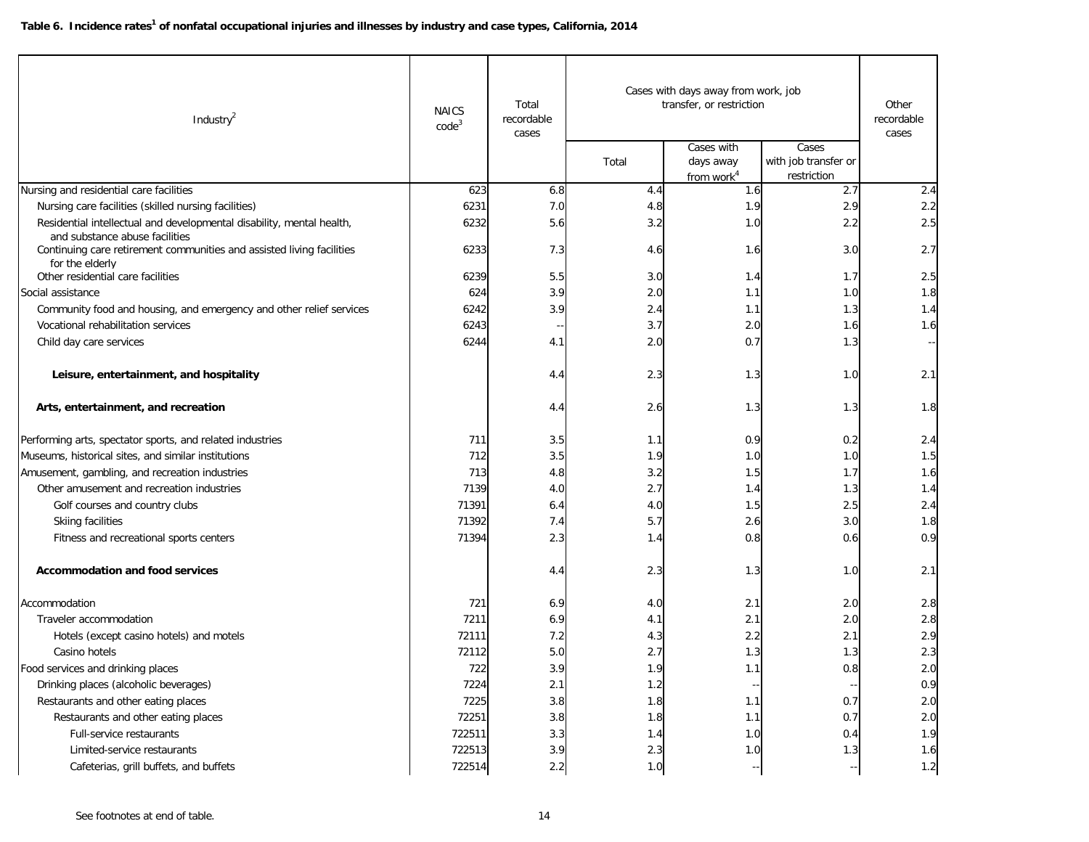| Industry <sup>2</sup>                                                                                   | <b>NAICS</b><br>code <sup>3</sup> | Total<br>recordable<br>cases | Cases with days away from work, job<br>transfer, or restriction |                                                   |                                              | Other<br>recordable<br>cases |
|---------------------------------------------------------------------------------------------------------|-----------------------------------|------------------------------|-----------------------------------------------------------------|---------------------------------------------------|----------------------------------------------|------------------------------|
|                                                                                                         |                                   |                              | Total                                                           | Cases with<br>days away<br>from work <sup>4</sup> | Cases<br>with job transfer or<br>restriction |                              |
| Nursing and residential care facilities                                                                 | 623                               | 6.8                          | 4.4                                                             | 1.6                                               | 2.7                                          | 2.4                          |
| Nursing care facilities (skilled nursing facilities)                                                    | 6231                              | 7.0                          | 4.8                                                             | 1.9                                               | 2.9                                          | 2.2                          |
| Residential intellectual and developmental disability, mental health,<br>and substance abuse facilities | 6232                              | 5.6                          | 3.2                                                             | 1.0                                               | 2.2                                          | 2.5                          |
| Continuing care retirement communities and assisted living facilities<br>for the elderly                | 6233                              | 7.3                          | 4.6                                                             | 1.6                                               | 3.0                                          | 2.7                          |
| Other residential care facilities                                                                       | 6239                              | 5.5                          | 3.0                                                             | 1.4                                               | 1.7                                          | 2.5                          |
| Social assistance                                                                                       | 624                               | 3.9                          | 2.0                                                             | 1.1                                               | 1.0                                          | 1.8                          |
| Community food and housing, and emergency and other relief services                                     | 6242                              | 3.9                          | 2.4                                                             | 1.1                                               | 1.3                                          | 1.4                          |
| Vocational rehabilitation services                                                                      | 6243                              |                              | 3.7                                                             | 2.0                                               | 1.6                                          | 1.6                          |
| Child day care services                                                                                 | 6244                              | 4.1                          | 2.0                                                             | 0.7                                               | 1.3                                          | $\sim$                       |
| Leisure, entertainment, and hospitality                                                                 |                                   | 4.4                          | 2.3                                                             | 1.3                                               | 1.0                                          | 2.1                          |
| Arts, entertainment, and recreation                                                                     |                                   | 4.4                          | 2.6                                                             | 1.3                                               | 1.3                                          | 1.8                          |
| Performing arts, spectator sports, and related industries                                               | 711                               | 3.5                          | 1.1                                                             | 0.9                                               | 0.2                                          | 2.4                          |
| Museums, historical sites, and similar institutions                                                     | 712                               | 3.5                          | 1.9                                                             | 1.0                                               | 1.0                                          | 1.5                          |
| Amusement, gambling, and recreation industries                                                          | 713                               | 4.8                          | 3.2                                                             | 1.5                                               | 1.7                                          | 1.6                          |
| Other amusement and recreation industries                                                               | 7139                              | 4.0                          | 2.7                                                             | 1.4                                               | 1.3                                          | 1.4                          |
| Golf courses and country clubs                                                                          | 71391                             | 6.4                          | 4.0                                                             | 1.5                                               | 2.5                                          | 2.4                          |
| Skiing facilities                                                                                       | 71392                             | 7.4                          | 5.7                                                             | 2.6                                               | 3.0                                          | 1.8                          |
| Fitness and recreational sports centers                                                                 | 71394                             | 2.3                          | 1.4                                                             | 0.8                                               | 0.6                                          | 0.9                          |
| <b>Accommodation and food services</b>                                                                  |                                   | 4.4                          | 2.3                                                             | 1.3                                               | 1.0                                          | 2.1                          |
| Accommodation                                                                                           | 721                               | 6.9                          | 4.0                                                             | 2.1                                               | 2.0                                          | 2.8                          |
| Traveler accommodation                                                                                  | 7211                              | 6.9                          | 4.1                                                             | 2.1                                               | 2.0                                          | 2.8                          |
| Hotels (except casino hotels) and motels                                                                | 72111                             | 7.2                          | 4.3                                                             | 2.2                                               | 2.1                                          | 2.9                          |
| Casino hotels                                                                                           | 72112                             | 5.0                          | 2.7                                                             | 1.3                                               | 1.3                                          | 2.3                          |
| Food services and drinking places                                                                       | 722                               | 3.9                          | 1.9                                                             | 1.1                                               | 0.8                                          | 2.0                          |
| Drinking places (alcoholic beverages)                                                                   | 7224                              | 2.1                          | 1.2                                                             |                                                   |                                              | 0.9                          |
| Restaurants and other eating places                                                                     | 7225                              | 3.8                          | 1.8                                                             | 1.1                                               | 0.7                                          | $2.0$                        |
| Restaurants and other eating places                                                                     | 72251                             | 3.8                          | 1.8                                                             | 1.1                                               | 0.7                                          | $2.0$                        |
| <b>Full-service restaurants</b>                                                                         | 722511                            | 3.3                          | 1.4                                                             | 1.0                                               | 0.4                                          | 1.9                          |
| Limited-service restaurants                                                                             | 722513                            | 3.9                          | 2.3                                                             | 1.0                                               | 1.3                                          | 1.6                          |
| Cafeterias, grill buffets, and buffets                                                                  | 722514                            | $2.2\,$                      | $1.0$                                                           |                                                   |                                              | $1.2$                        |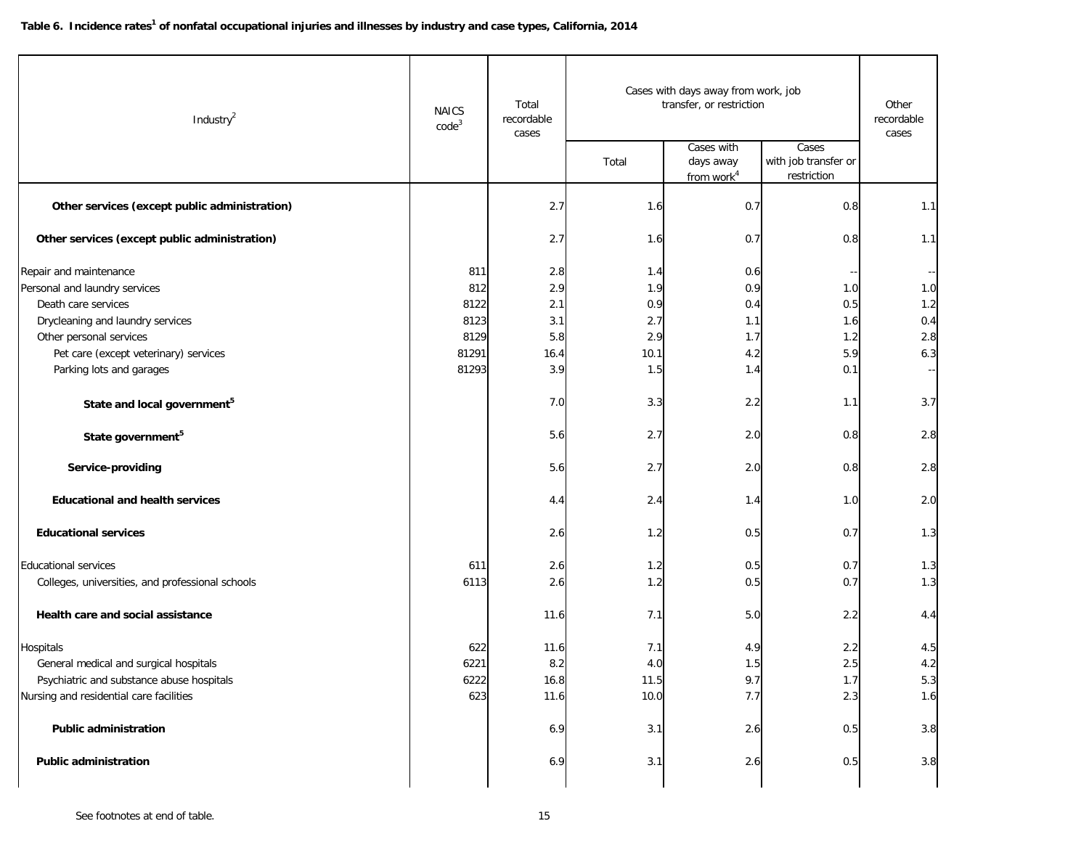| Industry <sup>2</sup>                            | <b>NAICS</b><br>code <sup>3</sup> | Total<br>recordable<br>cases |       | Cases with days away from work, job<br>transfer, or restriction<br>Cases with | Cases                               | Other<br>recordable<br>cases |
|--------------------------------------------------|-----------------------------------|------------------------------|-------|-------------------------------------------------------------------------------|-------------------------------------|------------------------------|
|                                                  |                                   |                              | Total | days away<br>from work <sup>4</sup>                                           | with job transfer or<br>restriction |                              |
| Other services (except public administration)    |                                   | 2.7                          | 1.6   | 0.7                                                                           | 0.8                                 | 1.1                          |
| Other services (except public administration)    |                                   | 2.7                          | 1.6   | 0.7                                                                           | 0.8                                 | 1.1                          |
| Repair and maintenance                           | 811                               | 2.8                          | 1.4   | 0.6                                                                           |                                     |                              |
| Personal and laundry services                    | 812                               | 2.9                          | 1.9   | 0.9                                                                           | 1.0                                 | 1.0                          |
| Death care services                              | 8122                              | 2.1                          | 0.9   | 0.4                                                                           | 0.5                                 | 1.2                          |
| Drycleaning and laundry services                 | 8123                              | 3.1                          | 2.7   | 1.1                                                                           | 1.6                                 | 0.4                          |
| Other personal services                          | 8129                              | 5.8                          | 2.9   | 1.7                                                                           | 1.2                                 | 2.8                          |
| Pet care (except veterinary) services            | 81291                             | 16.4                         | 10.1  | 4.2                                                                           | 5.9                                 | 6.3                          |
| Parking lots and garages                         | 81293                             | 3.9                          | 1.5   | 1.4                                                                           | 0.1                                 |                              |
| State and local government <sup>5</sup>          |                                   | 7.0                          | 3.3   | 2.2                                                                           | 1.1                                 | 3.7                          |
| State government <sup>5</sup>                    |                                   | 5.6                          | 2.7   | 2.0                                                                           | 0.8                                 | 2.8                          |
| Service-providing                                |                                   | 5.6                          | 2.7   | 2.0                                                                           | 0.8                                 | 2.8                          |
| <b>Educational and health services</b>           |                                   | 4.4                          | 2.4   | 1.4                                                                           | 1.0                                 | 2.0                          |
| <b>Educational services</b>                      |                                   | 2.6                          | 1.2   | 0.5                                                                           | 0.7                                 | 1.3                          |
| <b>Educational services</b>                      | 611                               | 2.6                          | 1.2   | 0.5                                                                           | 0.7                                 | 1.3                          |
| Colleges, universities, and professional schools | 6113                              | 2.6                          | 1.2   | 0.5                                                                           | 0.7                                 | 1.3                          |
| Health care and social assistance                |                                   | 11.6                         | 7.1   | 5.0                                                                           | 2.2                                 | 4.4                          |
| Hospitals                                        | 622                               | 11.6                         | 7.1   | 4.9                                                                           | 2.2                                 | 4.5                          |
| General medical and surgical hospitals           | 6221                              | 8.2                          | 4.0   | 1.5                                                                           | 2.5                                 | 4.2                          |
| Psychiatric and substance abuse hospitals        | 6222                              | 16.8                         | 11.5  | 9.7                                                                           | 1.7                                 | 5.3                          |
| Nursing and residential care facilities          | 623                               | 11.6                         | 10.0  | 7.7                                                                           | 2.3                                 | 1.6                          |
| <b>Public administration</b>                     |                                   | 6.9                          | 3.1   | 2.6                                                                           | 0.5                                 | 3.8                          |
| <b>Public administration</b>                     |                                   | 6.9                          | 3.1   | $2.6\,$                                                                       | 0.5                                 | 3.8                          |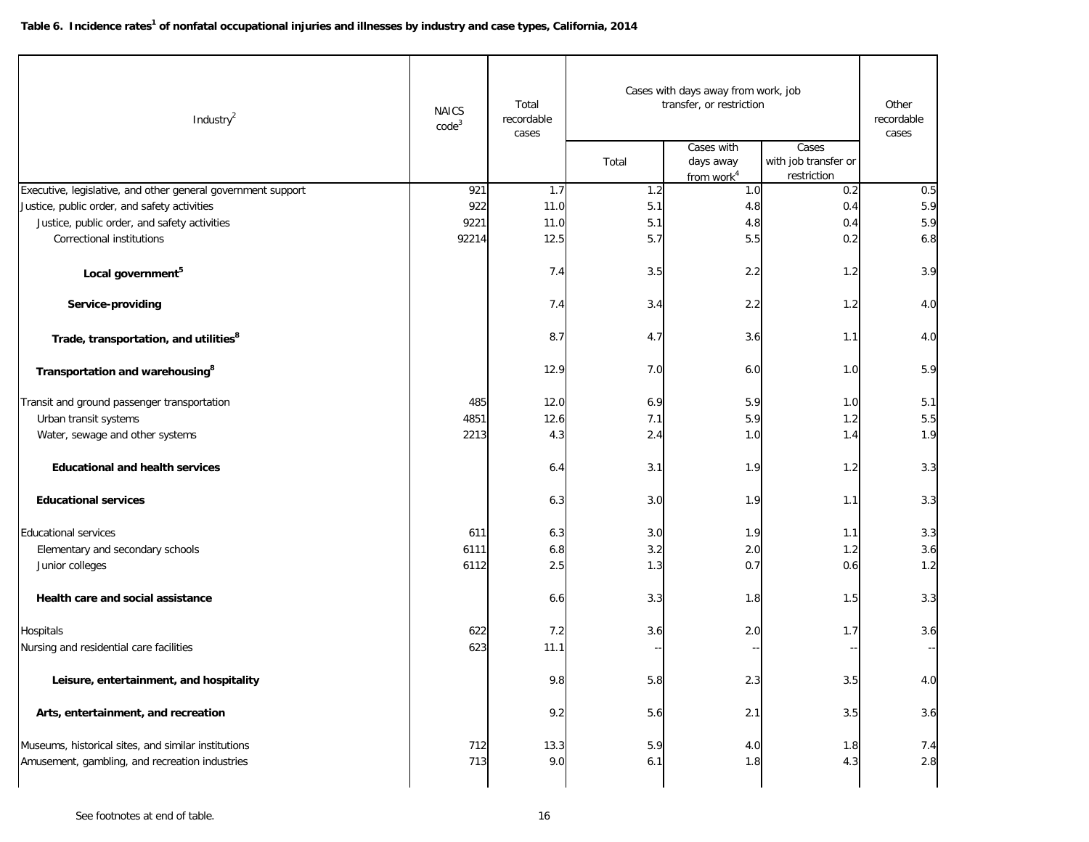| Industry $^2$                                                                                         | Cases with days away from work, job<br>Total<br>transfer, or restriction<br><b>NAICS</b><br>recordable<br>code <sup>3</sup><br>cases |             |            | Other<br>recordable<br>cases                      |                                              |            |
|-------------------------------------------------------------------------------------------------------|--------------------------------------------------------------------------------------------------------------------------------------|-------------|------------|---------------------------------------------------|----------------------------------------------|------------|
|                                                                                                       |                                                                                                                                      |             | Total      | Cases with<br>days away<br>from work <sup>4</sup> | Cases<br>with job transfer or<br>restriction |            |
| Executive, legislative, and other general government support                                          | 921                                                                                                                                  | 1.7         | 1.2        | 1.0                                               | 0.2                                          | 0.5        |
| Justice, public order, and safety activities                                                          | 922                                                                                                                                  | 11.0        | 5.1        | 4.8                                               | 0.4                                          | 5.9        |
| Justice, public order, and safety activities                                                          | 9221                                                                                                                                 | 11.0        | 5.1        | 4.8                                               | 0.4                                          | 5.9        |
| Correctional institutions                                                                             | 92214                                                                                                                                | 12.5        | 5.7        | 5.5                                               | 0.2                                          | 6.8        |
| Local government <sup>5</sup>                                                                         |                                                                                                                                      | 7.4         | 3.5        | 2.2                                               | 1.2                                          | 3.9        |
| Service-providing                                                                                     |                                                                                                                                      | 7.4         | 3.4        | 2.2                                               | 1.2                                          | 4.0        |
| Trade, transportation, and utilities <sup>8</sup>                                                     |                                                                                                                                      | 8.7         | 4.7        | 3.6                                               | 1.1                                          | 4.0        |
| Transportation and warehousing <sup>8</sup>                                                           |                                                                                                                                      | 12.9        | 7.0        | 6.0                                               | 1.0                                          | 5.9        |
| Transit and ground passenger transportation                                                           | 485                                                                                                                                  | 12.0        | 6.9        | 5.9                                               | 1.0                                          | 5.1        |
| Urban transit systems                                                                                 | 4851                                                                                                                                 | 12.6        | 7.1        | 5.9                                               | 1.2                                          | 5.5        |
| Water, sewage and other systems                                                                       | 2213                                                                                                                                 | 4.3         | 2.4        | 1.0                                               | 1.4                                          | 1.9        |
| <b>Educational and health services</b>                                                                |                                                                                                                                      | 6.4         | 3.1        | 1.9                                               | 1.2                                          | 3.3        |
| <b>Educational services</b>                                                                           |                                                                                                                                      | 6.3         | 3.0        | 1.9                                               | 1.1                                          | 3.3        |
| <b>Educational services</b>                                                                           | 611                                                                                                                                  | 6.3         | 3.0        | 1.9                                               | 1.1                                          | 3.3        |
| Elementary and secondary schools                                                                      | 6111                                                                                                                                 | 6.8         | 3.2        | $2.0$                                             | 1.2                                          | 3.6        |
| Junior colleges                                                                                       | 6112                                                                                                                                 | 2.5         | 1.3        | 0.7                                               | 0.6                                          | 1.2        |
| Health care and social assistance                                                                     |                                                                                                                                      | 6.6         | 3.3        | 1.8                                               | 1.5                                          | 3.3        |
| Hospitals                                                                                             | 622                                                                                                                                  | 7.2         | 3.6        | 2.0                                               | 1.7                                          | 3.6        |
| Nursing and residential care facilities                                                               | 623                                                                                                                                  | 11.1        |            |                                                   |                                              |            |
| Leisure, entertainment, and hospitality                                                               |                                                                                                                                      | 9.8         | 5.8        | $2.3\,$                                           | 3.5                                          | 4.0        |
| Arts, entertainment, and recreation                                                                   |                                                                                                                                      | 9.2         | 5.6        | 2.1                                               | 3.5                                          | 3.6        |
| Museums, historical sites, and similar institutions<br>Amusement, gambling, and recreation industries | 712<br>713                                                                                                                           | 13.3<br>9.0 | 5.9<br>6.1 | 4.0<br>1.8                                        | 1.8<br>4.3                                   | 7.4<br>2.8 |